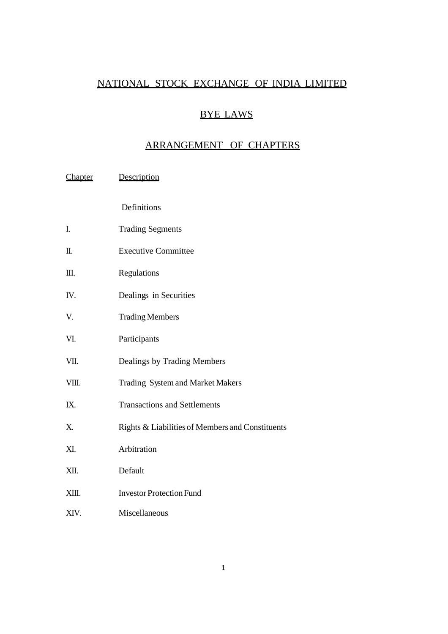## NATIONAL STOCK EXCHANGE OF INDIA LIMITED

# BYE LAWS

# ARRANGEMENT OF CHAPTERS

| Chapter | Description |
|---------|-------------|
|---------|-------------|

Definitions

- I. Trading Segments
- II. Executive Committee
- III. Regulations
- IV. Dealings in Securities
- V. Trading Members
- VI. Participants
- VII. Dealings by Trading Members
- VIII. Trading System and Market Makers
- IX. Transactions and Settlements
- X. Rights & Liabilitiesof Members and Constituents
- XI. Arbitration
- XII. Default
- XIII. Investor Protection Fund
- XIV. Miscellaneous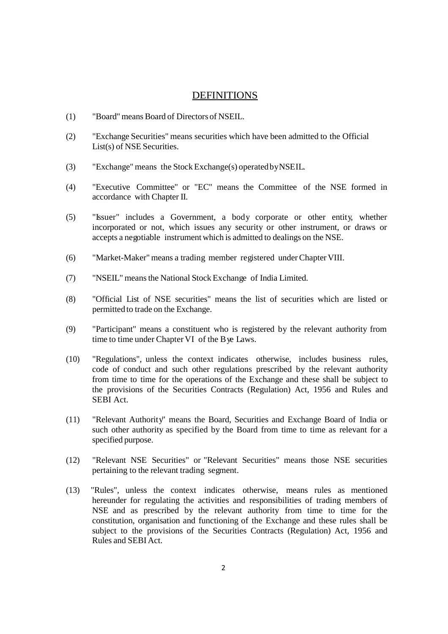## **DEFINITIONS**

- (1) "Board"means Board of Directors of NSEIL.
- (2) "Exchange Securities" means securities which have been admitted to the Official List(s) of NSE Securities.
- (3) "Exchange" means the StockExchange(s) operatedbyNSEIL.
- (4) "Executive Committee" or "EC" means the Committee of the NSE formed in accordance with Chapter II.
- (5) "Issuer" includes a Government, a body corporate or other entity, whether incorporated or not, which issues any security or other instrument, or draws or accepts a negotiable instrument which is admitted to dealings on the NSE.
- (6) "Market-Maker" means a trading member registered underChapter VIII.
- (7) "NSEIL" meansthe National Stock Exchange of India Limited.
- (8) "Official List of NSE securities" means the list of securities which are listed or permitted to trade on the Exchange.
- (9) "Participant" means a constituent who is registered by the relevant authority from time to time under Chapter VI of the Bye Laws.
- (10) "Regulations", unless the context indicates otherwise, includes business rules, code of conduct and such other regulations prescribed by the relevant authority from time to time for the operations of the Exchange and these shall be subject to the provisions of the Securities Contracts (Regulation) Act, 1956 and Rules and SEBI Act.
- (11) "Relevant Authority" means the Board, Securities and Exchange Board of India or such other authority as specified by the Board from time to time as relevant for a specified purpose.
- (12) "Relevant NSE Securities" or "Relevant Securities" means those NSE securities pertaining to the relevant trading segment.
- (13) "Rules", unless the context indicates otherwise, means rules as mentioned hereunder for regulating the activities and responsibilities of trading members of NSE and as prescribed by the relevant authority from time to time for the constitution, organisation and functioning of the Exchange and these rules shall be subject to the provisions of the Securities Contracts (Regulation) Act, 1956 and Rules and SEBIAct.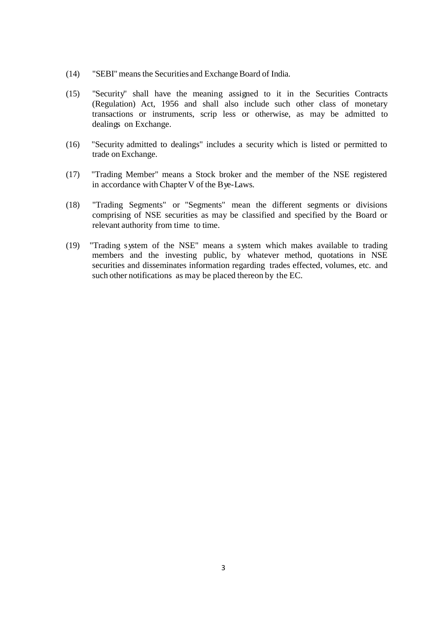- (14) "SEBI" means the Securities and Exchange Board of India.
- (15) "Security" shall have the meaning assigned to it in the Securities Contracts (Regulation) Act, 1956 and shall also include such other class of monetary transactions or instruments, scrip less or otherwise, as may be admitted to dealings on Exchange.
- (16) "Security admitted to dealings" includes a security which is listed or permitted to trade on Exchange.
- (17) "Trading Member" means a Stock broker and the member of the NSE registered in accordance with Chapter V of the Bye-Laws.
- (18) "Trading Segments" or "Segments" mean the different segments or divisions comprising of NSE securities as may be classified and specified by the Board or relevant authority from time to time.
- (19) "Trading system of the NSE" means a system which makes available to trading members and the investing public, by whatever method, quotations in NSE securities and disseminates information regarding trades effected, volumes, etc. and such other notifications as may be placed thereon by the EC.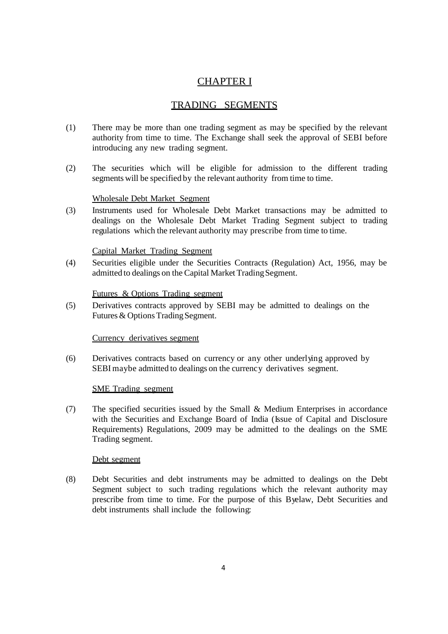# CHAPTER I

# TRADING SEGMENTS

- (1) There may be more than one trading segment as may be specified by the relevant authority from time to time. The Exchange shall seek the approval of SEBI before introducing any new trading segment.
- (2) The securities which will be eligible for admission to the different trading segments will be specified by the relevant authority from time to time.

## Wholesale Debt Market Segment

(3) Instruments used for Wholesale Debt Market transactions may be admitted to dealings on the Wholesale Debt Market Trading Segment subject to trading regulations which the relevant authority may prescribe from time to time.

## Capital Market Trading Segment

(4) Securities eligible under the Securities Contracts (Regulation) Act, 1956, may be admitted to dealings on the Capital Market Trading Segment.

## Futures & Options Trading segment

(5) Derivatives contracts approved by SEBI may be admitted to dealings on the Futures & Options Trading Segment.

## Currency derivatives segment

(6) Derivatives contracts based on currency or any other underlying approved by SEBI maybe admitted to dealings on the currency derivatives segment.

## SME Trading segment

(7) The specified securities issued by the Small & Medium Enterprises in accordance with the Securities and Exchange Board of India (Issue of Capital and Disclosure Requirements) Regulations, 2009 may be admitted to the dealings on the SME Trading segment.

## Debt segment

(8) Debt Securities and debt instruments may be admitted to dealings on the Debt Segment subject to such trading regulations which the relevant authority may prescribe from time to time. For the purpose of this Byelaw, Debt Securities and debt instruments shall include the following: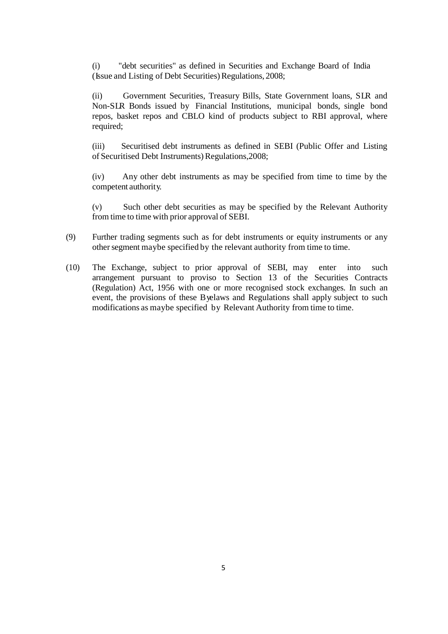(i) "debt securities" as defined in Securities and Exchange Board of India (Issue and Listing of Debt Securities) Regulations, 2008;

(ii) Government Securities, Treasury Bills, State Government loans, SLR and Non-SLR Bonds issued by Financial Institutions, municipal bonds, single bond repos, basket repos and CBLO kind of products subject to RBI approval, where required;

(iii) Securitised debt instruments as defined in SEBI (Public Offer and Listing of Securitised Debt Instruments) Regulations, 2008;

(iv) Any other debt instruments as may be specified from time to time by the competent authority.

(v) Such other debt securities as may be specified by the Relevant Authority from time to time with prior approval of SEBI.

- (9) Further trading segments such as for debt instruments or equity instruments or any other segment maybe specified by the relevant authority from time to time.
- (10) The Exchange, subject to prior approval of SEBI, may enter into such arrangement pursuant to proviso to Section 13 of the Securities Contracts (Regulation) Act, 1956 with one or more recognised stock exchanges. In such an event, the provisions of these Byelaws and Regulations shall apply subject to such modifications as maybe specified by Relevant Authority from time to time.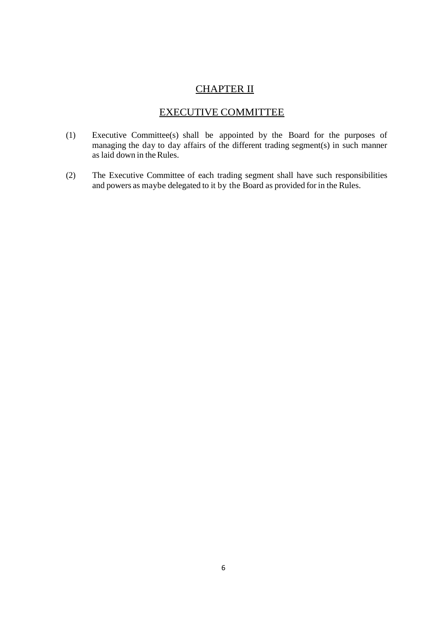# CHAPTER II

# EXECUTIVE COMMITTEE

- (1) Executive Committee(s) shall be appointed by the Board for the purposes of managing the day to day affairs of the different trading segment(s) in such manner as laid down in the Rules.
- (2) The Executive Committee of each trading segment shall have such responsibilities and powers as maybe delegated to it by the Board as provided for in the Rules.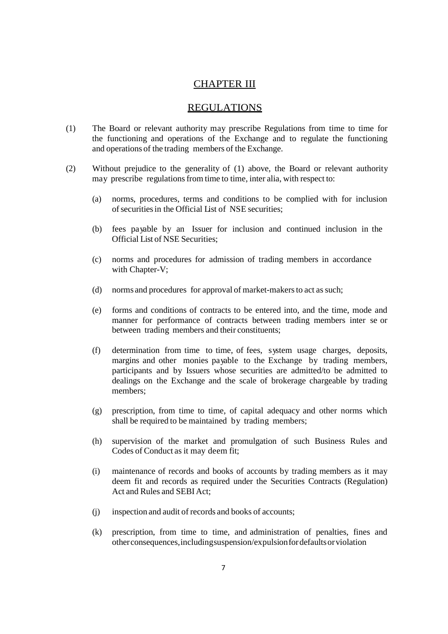## CHAPTER III

## REGULATIONS

- (1) The Board or relevant authority may prescribe Regulations from time to time for the functioning and operations of the Exchange and to regulate the functioning and operations of the trading members of the Exchange.
- (2) Without prejudice to the generality of (1) above, the Board or relevant authority may prescribe regulations from time to time, inter alia, with respect to:
	- (a) norms, procedures, terms and conditions to be complied with for inclusion of securities in the Official List of NSE securities;
	- (b) fees payable by an Issuer for inclusion and continued inclusion in the Official List of NSE Securities;
	- (c) norms and procedures for admission of trading members in accordance with Chapter-V;
	- (d) norms and procedures for approval of market-makers to act as such;
	- (e) forms and conditions of contracts to be entered into, and the time, mode and manner for performance of contracts between trading members inter se or between trading members and their constituents;
	- (f) determination from time to time, of fees, system usage charges, deposits, margins and other monies payable to the Exchange by trading members, participants and by Issuers whose securities are admitted/to be admitted to dealings on the Exchange and the scale of brokerage chargeable by trading members;
	- (g) prescription, from time to time, of capital adequacy and other norms which shall be required to be maintained by trading members;
	- (h) supervision of the market and promulgation of such Business Rules and Codes of Conduct as it may deem fit;
	- (i) maintenance of records and books of accounts by trading members as it may deem fit and records as required under the Securities Contracts (Regulation) Act and Rules and SEBIAct;
	- (j) inspection and audit of records and books of accounts;
	- (k) prescription, from time to time, and administration of penalties, fines and otherconsequences,includingsuspension/expulsionfordefaultsorviolation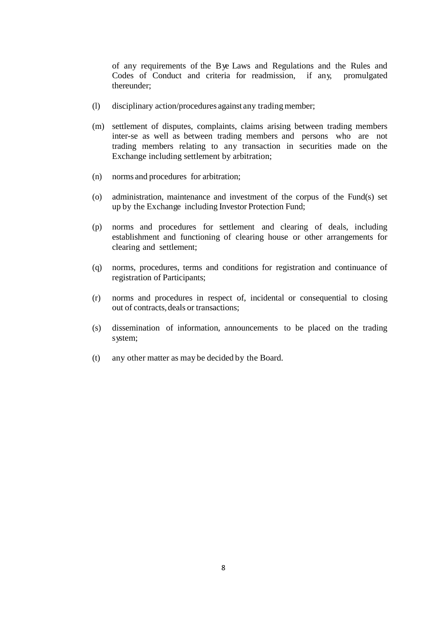of any requirements of the Bye Laws and Regulations and the Rules and Codes of Conduct and criteria for readmission, if any, promulgated thereunder;

- (l) disciplinary action/procedures against any tradingmember;
- (m) settlement of disputes, complaints, claims arising between trading members inter-se as well as between trading members and persons who are not trading members relating to any transaction in securities made on the Exchange including settlement by arbitration;
- (n) norms and procedures for arbitration;
- (o) administration, maintenance and investment of the corpus of the Fund(s) set up by the Exchange including Investor Protection Fund;
- (p) norms and procedures for settlement and clearing of deals, including establishment and functioning of clearing house or other arrangements for clearing and settlement;
- (q) norms, procedures, terms and conditions for registration and continuance of registration of Participants;
- (r) norms and procedures in respect of, incidental or consequential to closing out of contracts,deals or transactions;
- (s) dissemination of information, announcements to be placed on the trading system;
- (t) any other matter as may be decided by the Board.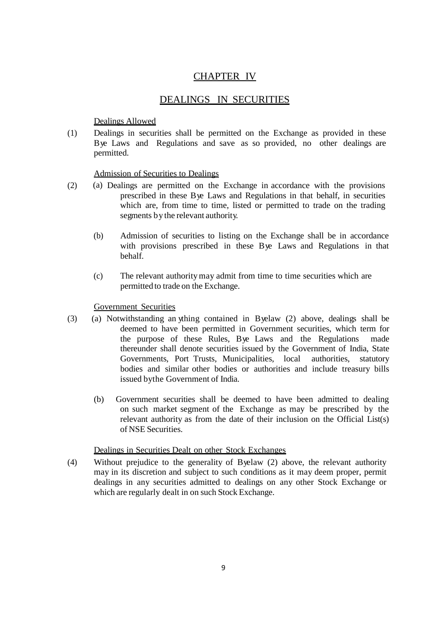# CHAPTER IV

## DEALINGS IN SECURITIES

## Dealings Allowed

(1) Dealings in securities shall be permitted on the Exchange as provided in these Bye Laws and Regulations and save as so provided, no other dealings are permitted.

## Admission of Securities to Dealings

- (2) (a) Dealings are permitted on the Exchange in accordance with the provisions prescribed in these Bye Laws and Regulations in that behalf, in securities which are, from time to time, listed or permitted to trade on the trading segments by the relevant authority.
	- (b) Admission of securities to listing on the Exchange shall be in accordance with provisions prescribed in these Bye Laws and Regulations in that behalf.
	- (c) The relevant authoritymay admit from time to time securities which are permitted to trade on the Exchange.

## Government Securities

- (3) (a) Notwithstanding an ything contained in Byelaw (2) above, dealings shall be deemed to have been permitted in Government securities, which term for the purpose of these Rules, Bye Laws and the Regulations made thereunder shall denote securities issued by the Government of India, State Governments, Port Trusts, Municipalities, local authorities, statutory Governments, Port Trusts, Municipalities, local authorities, statutory bodies and similar other bodies or authorities and include treasury bills issued bythe Government of India.
	- (b) Government securities shall be deemed to have been admitted to dealing on such market segment of the Exchange as may be prescribed by the relevant authority as from the date of their inclusion on the Official List(s) of NSE Securities.

#### Dealings in Securities Dealt on other Stock Exchanges

(4) Without prejudice to the generality of Byelaw (2) above, the relevant authority may in its discretion and subject to such conditions as it may deem proper, permit dealings in any securities admitted to dealings on any other Stock Exchange or which are regularly dealt in on such Stock Exchange.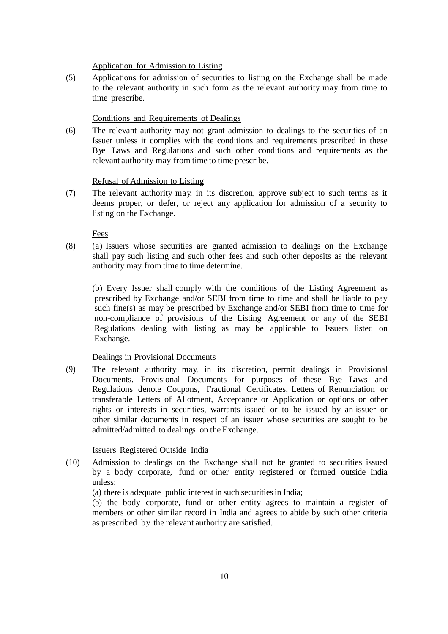#### Application for Admission to Listing

(5) Applications for admission of securities to listing on the Exchange shall be made to the relevant authority in such form as the relevant authority may from time to time prescribe.

### Conditions and Requirements of Dealings

(6) The relevant authority may not grant admission to dealings to the securities of an Issuer unless it complies with the conditions and requirements prescribed in these Bye Laws and Regulations and such other conditions and requirements as the relevant authority may from time to time prescribe.

#### Refusal of Admission to Listing

(7) The relevant authority may, in its discretion, approve subject to such terms as it deems proper, or defer, or reject any application for admission of a security to listing on the Exchange.

Fees

(8) (a) Issuers whose securities are granted admission to dealings on the Exchange shall pay such listing and such other fees and such other deposits as the relevant authority may from time to time determine.

(b) Every Issuer shall comply with the conditions of the Listing Agreement as prescribed by Exchange and/or SEBI from time to time and shall be liable to pay such fine(s) as may be prescribed by Exchange and/or SEBI from time to time for non-compliance of provisions of the Listing Agreement or any of the SEBI Regulations dealing with listing as may be applicable to Issuers listed on Exchange.

#### Dealings in Provisional Documents

(9) The relevant authority may, in its discretion, permit dealings in Provisional Documents. Provisional Documents for purposes of these Bye Laws and Regulations denote Coupons, Fractional Certificates, Letters of Renunciation or transferable Letters of Allotment, Acceptance or Application or options or other rights or interests in securities, warrants issued or to be issued by an issuer or other similar documents in respect of an issuer whose securities are sought to be admitted/admitted to dealings on the Exchange.

#### Issuers Registered Outside India

- (10) Admission to dealings on the Exchange shall not be granted to securities issued by a body corporate, fund or other entity registered or formed outside India unless:
	- (a) there is adequate public interest in such securitiesin India;

(b) the body corporate, fund or other entity agrees to maintain a register of members or other similar record in India and agrees to abide by such other criteria as prescribed by the relevant authority are satisfied.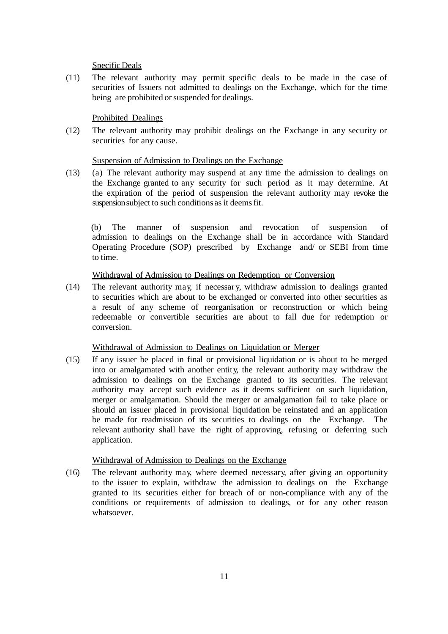## Specific Deals

(11) The relevant authority may permit specific deals to be made in the case of securities of Issuers not admitted to dealings on the Exchange, which for the time being are prohibited or suspended for dealings.

## Prohibited Dealings

(12) The relevant authority may prohibit dealings on the Exchange in any security or securities for any cause.

## Suspension of Admission to Dealings on the Exchange

(13) (a) The relevant authority may suspend at any time the admission to dealings on the Exchange granted to any security for such period as it may determine. At the expiration of the period of suspension the relevant authority may revoke the suspension subject to such conditions as it deems fit.

(b) The manner of suspension and revocation of suspension of admission to dealings on the Exchange shall be in accordance with Standard Operating Procedure (SOP) prescribed by Exchange and/ or SEBI from time to time.

## Withdrawal of Admission to Dealings on Redemption or Conversion

(14) The relevant authority may, if necessar y, withdraw admission to dealings granted to securities which are about to be exchanged or converted into other securities as a result of any scheme of reorganisation or reconstruction or which being redeemable or convertible securities are about to fall due for redemption or conversion.

## Withdrawal of Admission to Dealings on Liquidation or Merger

(15) If any issuer be placed in final or provisional liquidation or is about to be merged into or amalgamated with another entity, the relevant authority may withdraw the admission to dealings on the Exchange granted to its securities. The relevant authority may accept such evidence as it deems sufficient on such liquidation, merger or amalgamation. Should the merger or amalgamation fail to take place or should an issuer placed in provisional liquidation be reinstated and an application be made for readmission of its securities to dealings on the Exchange. The relevant authority shall have the right of approving, refusing or deferring such application.

## Withdrawal of Admission to Dealings on the Exchange

(16) The relevant authority may, where deemed necessary, after giving an opportunity to the issuer to explain, withdraw the admission to dealings on the Exchange granted to its securities either for breach of or non-compliance with any of the conditions or requirements of admission to dealings, or for any other reason whatsoever.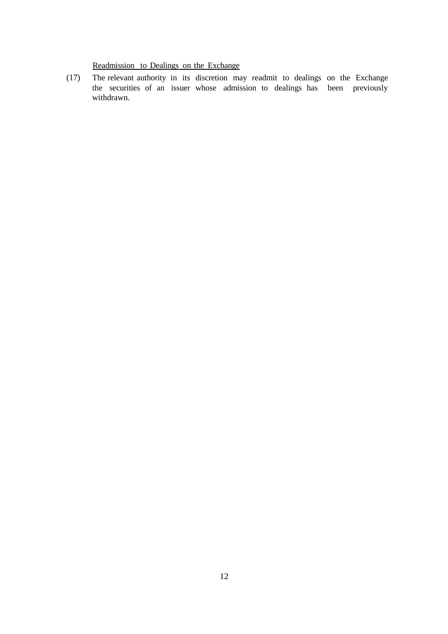# Readmission to Dealings on the Exchange

(17) The relevant authority in its discretion may readmit to dealings on the Exchange the securities of an issuer whose admission to dealings has been previously withdrawn.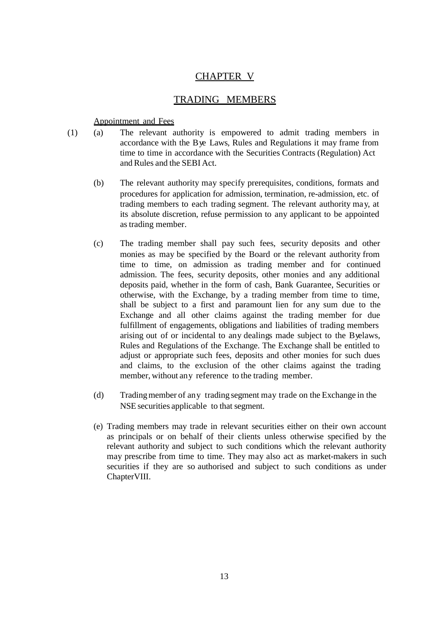# CHAPTER V

## TRADING MEMBERS

## Appointment and Fees

- (1) (a) The relevant authority is empowered to admit trading members in accordance with the Bye Laws, Rules and Regulations it may frame from time to time in accordance with the Securities Contracts (Regulation) Act and Rules and the SEBI Act.
	- (b) The relevant authority may specify prerequisites, conditions, formats and procedures for application for admission, termination, re-admission, etc. of trading members to each trading segment. The relevant authority may, at its absolute discretion, refuse permission to any applicant to be appointed astrading member.
	- (c) The trading member shall pay such fees, security deposits and other monies as may be specified by the Board or the relevant authority from time to time, on admission as trading member and for continued admission. The fees, security deposits, other monies and any additional deposits paid, whether in the form of cash, Bank Guarantee, Securities or otherwise, with the Exchange, by a trading member from time to time, shall be subject to a first and paramount lien for any sum due to the Exchange and all other claims against the trading member for due fulfillment of engagements, obligations and liabilities of trading members arising out of or incidental to any dealings made subject to the Byelaws, Rules and Regulations of the Exchange. The Exchange shall be entitled to adjust or appropriate such fees, deposits and other monies for such dues and claims, to the exclusion of the other claims against the trading member, without any reference to the trading member.
	- (d) Tradingmember of any trading segment may trade on the Exchange in the NSE securities applicable to that segment.
	- (e) Trading members may trade in relevant securities either on their own account as principals or on behalf of their clients unless otherwise specified by the relevant authority and subject to such conditions which the relevant authority may prescribe from time to time. They may also act as market-makers in such securities if they are so authorised and subject to such conditions as under ChapterVIII.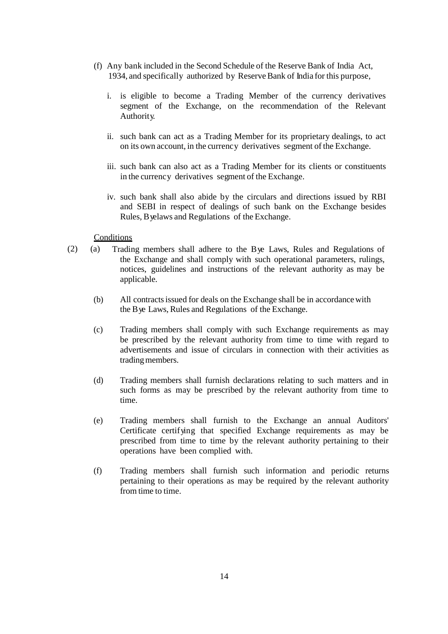- (f) Any bank included in the Second Schedule of the Reserve Bank of India Act, 1934, and specifically authorized by ReserveBank of India for this purpose,
	- i. is eligible to become a Trading Member of the currency derivatives segment of the Exchange, on the recommendation of the Relevant Authority.
	- ii. such bank can act as a Trading Member for its proprietary dealings, to act on its own account, in the currency derivatives segment of the Exchange.
	- iii. such bank can also act as a Trading Member for its clients or constituents in the currency derivatives segment of the Exchange.
	- iv. such bank shall also abide by the circulars and directions issued by RBI and SEBI in respect of dealings of such bank on the Exchange besides Rules, Byelaws and Regulations of the Exchange.

## **Conditions**

- (2) (a) Trading members shall adhere to the Bye Laws, Rules and Regulations of the Exchange and shall comply with such operational parameters, rulings, notices, guidelines and instructions of the relevant authority as may be applicable.
	- (b) All contractsissued for deals on the Exchange shall be in accordance with the Bye Laws, Rules and Regulations of the Exchange.
	- (c) Trading members shall comply with such Exchange requirements as may be prescribed by the relevant authority from time to time with regard to advertisements and issue of circulars in connection with their activities as trading members.
	- (d) Trading members shall furnish declarations relating to such matters and in such forms as may be prescribed by the relevant authority from time to time.
	- (e) Trading members shall furnish to the Exchange an annual Auditors' Certificate certifying that specified Exchange requirements as may be prescribed from time to time by the relevant authority pertaining to their operations have been complied with.
	- (f) Trading members shall furnish such information and periodic returns pertaining to their operations as may be required by the relevant authority from time to time.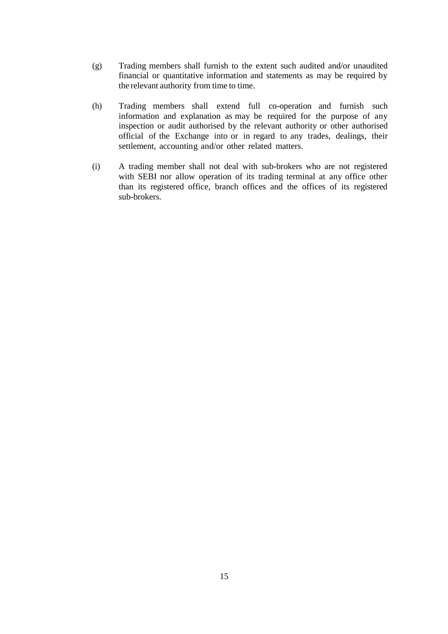- (g) Trading members shall furnish to the extent such audited and/or unaudited financial or quantitative information and statements as may be required by the relevant authority from time to time.
- (h) Trading members shall extend full co-operation and furnish such information and explanation as may be required for the purpose of any inspection or audit authorised by the relevant authority or other authorised official of the Exchange into or in regard to any trades, dealings, their settlement, accounting and/or other related matters.
- (i) A trading member shall not deal with sub-brokers who are not registered with SEBI nor allow operation of its trading terminal at any office other than its registered office, branch offices and the offices of its registered sub-brokers.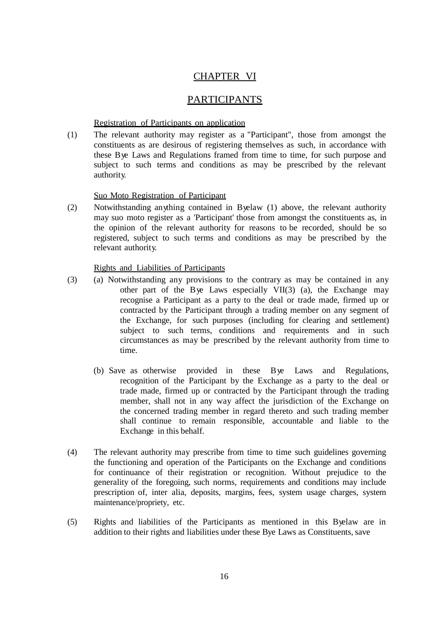# CHAPTER VI

## **PARTICIPANTS**

### Registration of Participants on application

(1) The relevant authority may register as a "Participant", those from amongst the constituents as are desirous of registering themselves as such, in accordance with these Bye Laws and Regulations framed from time to time, for such purpose and subject to such terms and conditions as may be prescribed by the relevant authority.

## Suo Moto Registration of Participant

(2) Notwithstanding anything contained in Byelaw (1) above, the relevant authority may suo moto register as a 'Participant' those from amongst the constituents as, in the opinion of the relevant authority for reasons to be recorded, should be so registered, subject to such terms and conditions as may be prescribed by the relevant authority.

#### Rights and Liabilities of Participants

- (3) (a) Notwithstanding any provisions to the contrary as may be contained in any other part of the Bye Laws especially VII(3) (a), the Exchange may recognise a Participant as a party to the deal or trade made, firmed up or contracted by the Participant through a trading member on any segment of the Exchange, for such purposes (including for clearing and settlement) subject to such terms, conditions and requirements and in such circumstances as may be prescribed by the relevant authority from time to time.
	- (b) Save as otherwise provided in these Bye Laws and Regulations, recognition of the Participant by the Exchange as a party to the deal or trade made, firmed up or contracted by the Participant through the trading member, shall not in any way affect the jurisdiction of the Exchange on the concerned trading member in regard thereto and such trading member shall continue to remain responsible, accountable and liable to the Exchange in this behalf.
- (4) The relevant authority may prescribe from time to time such guidelines governing the functioning and operation of the Participants on the Exchange and conditions for continuance of their registration or recognition. Without prejudice to the generality of the foregoing, such norms, requirements and conditions may include prescription of, inter alia, deposits, margins, fees, system usage charges, system maintenance/propriety, etc.
- (5) Rights and liabilities of the Participants as mentioned in this Byelaw are in addition to their rights and liabilities under these Bye Laws as Constituents, save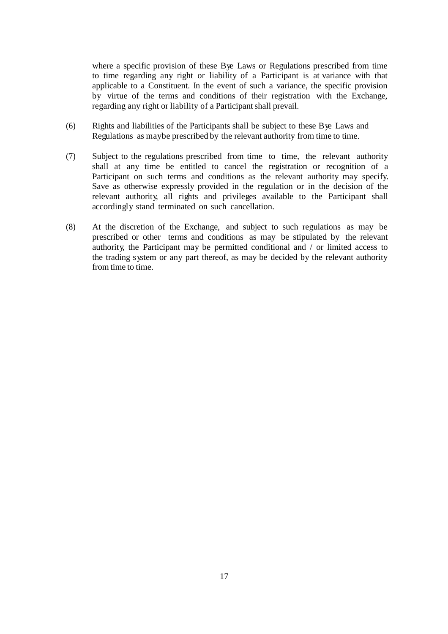where a specific provision of these Bye Laws or Regulations prescribed from time to time regarding any right or liability of a Participant is at variance with that applicable to a Constituent. In the event of such a variance, the specific provision by virtue of the terms and conditions of their registration with the Exchange, regarding any right or liability of a Participant shall prevail.

- (6) Rights and liabilities of the Participants shall be subject to these Bye Laws and Regulations as maybe prescribed by the relevant authority from time to time.
- (7) Subject to the regulations prescribed from time to time, the relevant authority shall at any time be entitled to cancel the registration or recognition of a Participant on such terms and conditions as the relevant authority may specify. Save as otherwise expressly provided in the regulation or in the decision of the relevant authority, all rights and privileges available to the Participant shall accordingly stand terminated on such cancellation.
- (8) At the discretion of the Exchange, and subject to such regulations as may be prescribed or other terms and conditions as may be stipulated by the relevant authority, the Participant may be permitted conditional and / or limited access to the trading system or any part thereof, as may be decided by the relevant authority from time to time.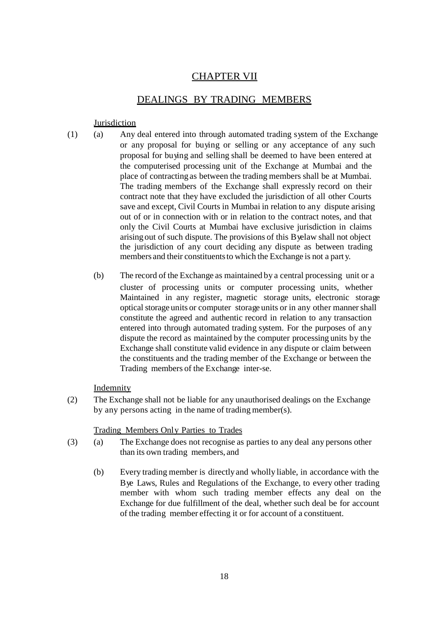# CHAPTER VII

## DEALINGS BY TRADING MEMBERS

### **Jurisdiction**

- (1) (a) Any deal entered into through automated trading system of the Exchange or any proposal for buying or selling or any acceptance of any such proposal for buying and selling shall be deemed to have been entered at the computerised processing unit of the Exchange at Mumbai and the place of contracting as between the trading members shall be at Mumbai. The trading members of the Exchange shall expressly record on their contract note that they have excluded the jurisdiction of all other Courts save and except, Civil Courts in Mumbai in relation to any dispute arising out of or in connection with or in relation to the contract notes, and that only the Civil Courts at Mumbai have exclusive jurisdiction in claims arising out of such dispute. The provisions of this Byelaw shall not object the jurisdiction of any court deciding any dispute as between trading members and their constituents to which the Exchange is not a part y.
	- (b) The record of the Exchange as maintained by a central processing unit or a cluster of processing units or computer processing units, whether Maintained in any register, magnetic storage units, electronic storage optical storage units or computer storage units or in any other manner shall constitute the agreed and authentic record in relation to any transaction entered into through automated trading system. For the purposes of any dispute the record as maintained by the computer processing units by the Exchange shall constitute valid evidence in any dispute or claim between the constituents and the trading member of the Exchange or between the Trading members of the Exchange inter-se.

## Indemnity

(2) The Exchange shall not be liable for any unauthorised dealings on the Exchange by any persons acting in the name of trading member(s).

#### Trading Members Only Parties to Trades

- (3) (a) The Exchange does not recognise as parties to any deal any persons other than its own trading members, and
	- (b) Every trading member is directly and wholly liable, in accordance with the Bye Laws, Rules and Regulations of the Exchange, to every other trading member with whom such trading member effects any deal on the Exchange for due fulfillment of the deal, whether such deal be for account of the trading member effecting it or for account of a constituent.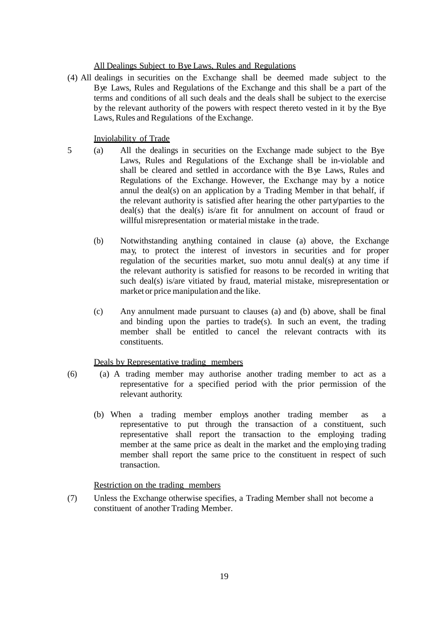#### All Dealings Subject to Bye Laws, Rules and Regulations

(4) All dealings in securities on the Exchange shall be deemed made subject to the Bye Laws, Rules and Regulations of the Exchange and this shall be a part of the terms and conditions of all such deals and the deals shall be subject to the exercise by the relevant authority of the powers with respect thereto vested in it by the Bye Laws, Rules and Regulations of the Exchange.

## Inviolability of Trade

- 5 (a) All the dealings in securities on the Exchange made subject to the Bye Laws, Rules and Regulations of the Exchange shall be in-violable and shall be cleared and settled in accordance with the Bye Laws, Rules and Regulations of the Exchange. However, the Exchange may by a notice annul the deal(s) on an application by a Trading Member in that behalf, if the relevant authority is satisfied after hearing the other party/parties to the deal(s) that the deal(s) is/are fit for annulment on account of fraud or willful misrepresentation or material mistake in the trade.
	- (b) Notwithstanding anything contained in clause (a) above, the Exchange may, to protect the interest of investors in securities and for proper regulation of the securities market, suo motu annul deal(s) at any time if the relevant authority is satisfied for reasons to be recorded in writing that such deal(s) is/are vitiated by fraud, material mistake, misrepresentation or market or price manipulation and the like.
	- (c) Any annulment made pursuant to clauses (a) and (b) above, shall be final and binding upon the parties to trade(s). In such an event, the trading member shall be entitled to cancel the relevant contracts with its constituents.

Deals by Representative trading members

- (6) (a) A trading member may authorise another trading member to act as a representative for a specified period with the prior permission of the relevant authority.
	- (b) When a trading member employs another trading member as a representative to put through the transaction of a constituent, such representative shall report the transaction to the employing trading member at the same price as dealt in the market and the employing trading member shall report the same price to the constituent in respect of such transaction.

## Restriction on the trading members

(7) Unless the Exchange otherwise specifies, a Trading Member shall not become a constituent of another Trading Member.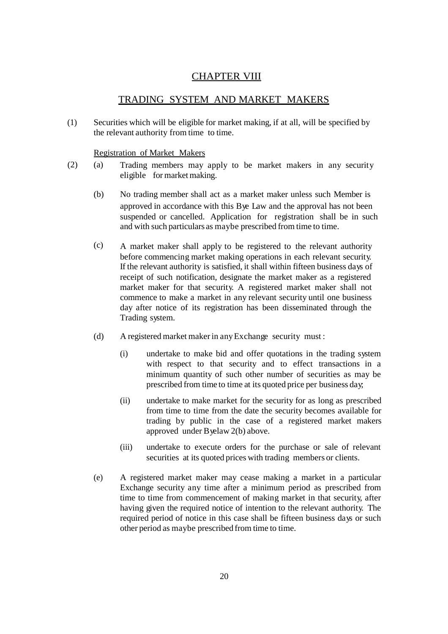# **CHAPTER VIII**

## TRADING SYSTEM AND MARKET MAKERS

(1) Securities which will be eligible for market making, if at all, will be specified by the relevant authority from time to time.

Registration of Market Makers

- (2) (a) Trading members may apply to be market makers in any security eligible for market making.
	- (b) No trading member shall act as a market maker unless such Member is approved in accordance with this Bye Law and the approval has not been suspended or cancelled. Application for registration shall be in such and with such particulars as maybe prescribed from time to time.
	- (c) A market maker shall apply to be registered to the relevant authority before commencing market making operations in each relevant security. If the relevant authority is satisfied, it shall within fifteen business days of receipt of such notification, designate the market maker as a registered market maker for that security. A registered market maker shall not commence to make a market in any relevant security until one business day after notice of its registration has been disseminated through the Trading system.
	- (d) A registered market makerin anyExchange security must :
		- (i) undertake to make bid and offer quotations in the trading system with respect to that security and to effect transactions in a minimum quantity of such other number of securities as may be prescribed from time to time at its quoted price per business day;
		- (ii) undertake to make market for the security for as long as prescribed from time to time from the date the security becomes available for trading by public in the case of a registered market makers approved under Byelaw 2(b) above.
		- (iii) undertake to execute orders for the purchase or sale of relevant securities at its quoted prices with trading members or clients.
	- (e) A registered market maker may cease making a market in a particular Exchange security any time after a minimum period as prescribed from time to time from commencement of making market in that security, after having given the required notice of intention to the relevant authority. The required period of notice in this case shall be fifteen business days or such other period as maybe prescribed from time to time.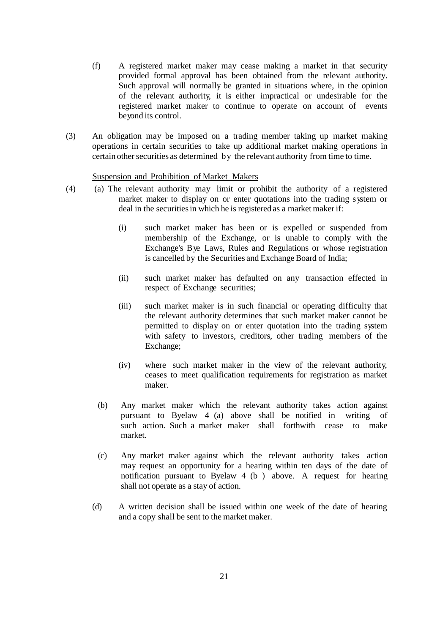- (f) A registered market maker may cease making a market in that security provided formal approval has been obtained from the relevant authority. Such approval will normally be granted in situations where, in the opinion of the relevant authority, it is either impractical or undesirable for the registered market maker to continue to operate on account of events beyond its control.
- (3) An obligation may be imposed on a trading member taking up market making operations in certain securities to take up additional market making operations in certain other securities as determined by the relevant authority from time to time.

## Suspension and Prohibition of Market Makers

- (4) (a) The relevant authority may limit or prohibit the authority of a registered market maker to display on or enter quotations into the trading system or deal in the securities in which he is registered as a market maker if:
	- (i) such market maker has been or is expelled or suspended from membership of the Exchange, or is unable to comply with the Exchange's Bye Laws, Rules and Regulations or whose registration is cancelled by the Securities and Exchange Board of India;
	- (ii) such market maker has defaulted on any transaction effected in respect of Exchange securities;
	- (iii) such market maker is in such financial or operating difficulty that the relevant authority determines that such market maker cannot be permitted to display on or enter quotation into the trading system with safety to investors, creditors, other trading members of the Exchange;
	- (iv) where such market maker in the view of the relevant authority, ceases to meet qualification requirements for registration as market maker.
	- (b) Any market maker which the relevant authority takes action against pursuant to Byelaw 4 (a) above shall be notified in writing of such action. Such a market maker shall forthwith cease to make market.
	- (c) Any market maker against which the relevant authority takes action may request an opportunity for a hearing within ten days of the date of notification pursuant to Byelaw 4 (b ) above. A request for hearing shall not operate as a stay of action.
	- (d) A written decision shall be issued within one week of the date of hearing and a copy shall be sent to the market maker.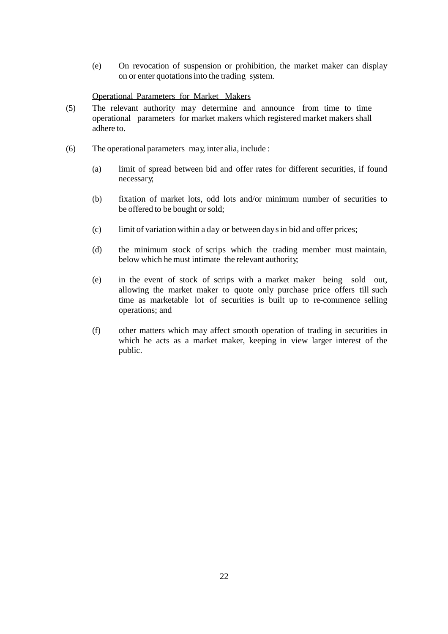(e) On revocation of suspension or prohibition, the market maker can display on or enter quotationsinto the trading system.

## Operational Parameters for Market Makers

- (5) The relevant authority may determine and announce from time to time operational parameters for market makers which registered market makers shall adhere to.
- (6) The operational parameters may, inter alia, include :
	- (a) limit of spread between bid and offer rates for different securities, if found necessary;
	- (b) fixation of market lots, odd lots and/or minimum number of securities to be offered to be bought or sold;
	- (c) limit of variation within a day or between daysin bid and offer prices;
	- (d) the minimum stock of scrips which the trading member must maintain, below which he must intimate the relevant authority;
	- (e) in the event of stock of scrips with a market maker being sold out, allowing the market maker to quote only purchase price offers till such time as marketable lot of securities is built up to re-commence selling operations; and
	- (f) other matters which may affect smooth operation of trading in securities in which he acts as a market maker, keeping in view larger interest of the public.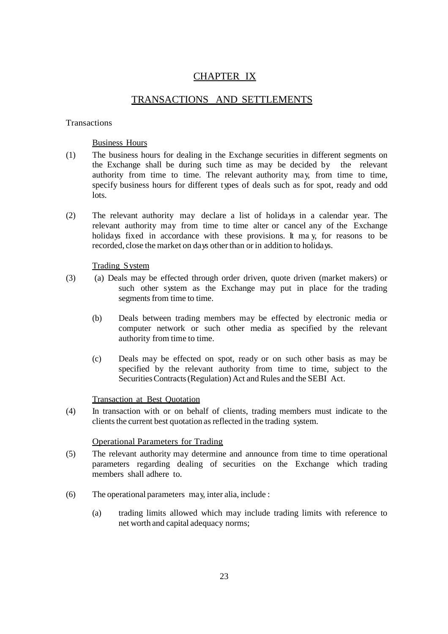# CHAPTER IX

# TRANSACTIONS AND SETTLEMENTS

## **Transactions**

## Business Hours

- (1) The business hours for dealing in the Exchange securities in different segments on the Exchange shall be during such time as may be decided by the relevant authority from time to time. The relevant authority may, from time to time, specify business hours for different types of deals such as for spot, ready and odd lots.
- (2) The relevant authority may declare a list of holidays in a calendar year. The relevant authority may from time to time alter or cancel any of the Exchange holidays fixed in accordance with these provisions. It may, for reasons to be recorded, close the market on days other than or in addition to holidays.

## Trading System

- (3) (a) Deals may be effected through order driven, quote driven (market makers) or such other system as the Exchange may put in place for the trading segments from time to time.
	- (b) Deals between trading members may be effected by electronic media or computer network or such other media as specified by the relevant authority from time to time.
	- (c) Deals may be effected on spot, ready or on such other basis as may be specified by the relevant authority from time to time, subject to the SecuritiesContracts(Regulation) Act and Rules and the SEBI Act.

## Transaction at Best Quotation

(4) In transaction with or on behalf of clients, trading members must indicate to the clients the current best quotation as reflected in the trading system.

## Operational Parameters for Trading

- (5) The relevant authority may determine and announce from time to time operational parameters regarding dealing of securities on the Exchange which trading members shall adhere to.
- (6) The operational parameters may, inter alia, include :
	- (a) trading limits allowed which may include trading limits with reference to net worth and capital adequacy norms;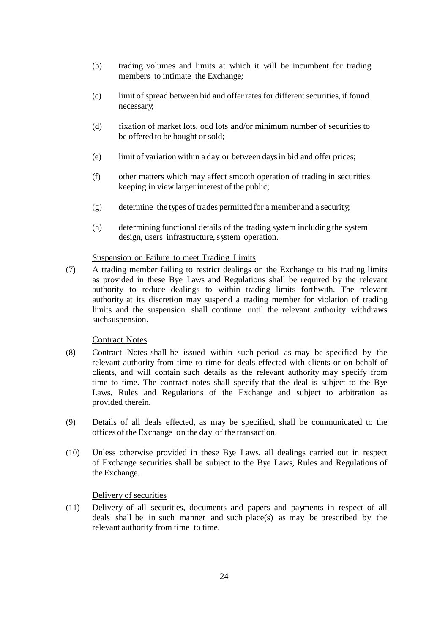- (b) trading volumes and limits at which it will be incumbent for trading members to intimate the Exchange;
- (c) limit of spread between bid and offer rates for different securities, if found necessary;
- (d) fixation of market lots, odd lots and/or minimum number of securities to be offered to be bought or sold;
- (e) limit of variation within a day or between daysin bid and offer prices;
- (f) other matters which may affect smooth operation of trading in securities keeping in view larger interest of the public;
- (g) determine the types of trades permitted for a member and a security;
- (h) determining functional details of the trading system including the system design, users infrastructure, system operation.

## Suspension on Failure to meet Trading Limits

(7) A trading member failing to restrict dealings on the Exchange to his trading limits as provided in these Bye Laws and Regulations shall be required by the relevant authority to reduce dealings to within trading limits forthwith. The relevant authority at its discretion may suspend a trading member for violation of trading limits and the suspension shall continue until the relevant authority withdraws suchsuspension.

## Contract Notes

- (8) Contract Notes shall be issued within such period as may be specified by the relevant authority from time to time for deals effected with clients or on behalf of clients, and will contain such details as the relevant authority may specify from time to time. The contract notes shall specify that the deal is subject to the Bye Laws, Rules and Regulations of the Exchange and subject to arbitration as provided therein.
- (9) Details of all deals effected, as may be specified, shall be communicated to the offices of the Exchange on the day of the transaction.
- (10) Unless otherwise provided in these Bye Laws, all dealings carried out in respect of Exchange securities shall be subject to the Bye Laws, Rules and Regulations of the Exchange.

## Delivery of securities

(11) Delivery of all securities, documents and papers and payments in respect of all deals shall be in such manner and such place(s) as may be prescribed by the relevant authority from time to time.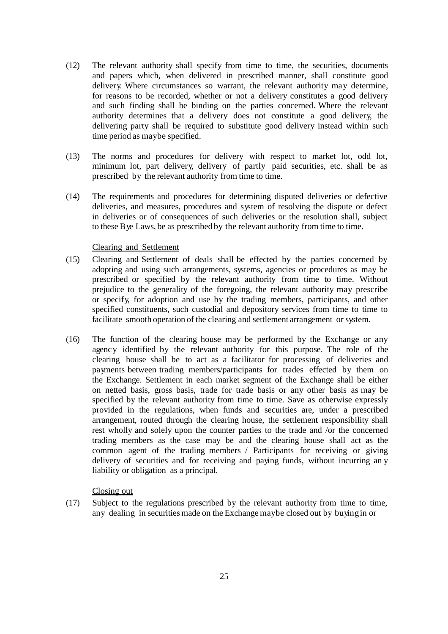- (12) The relevant authority shall specify from time to time, the securities, documents and papers which, when delivered in prescribed manner, shall constitute good delivery. Where circumstances so warrant, the relevant authority may determine, for reasons to be recorded, whether or not a delivery constitutes a good delivery and such finding shall be binding on the parties concerned. Where the relevant authority determines that a delivery does not constitute a good delivery, the delivering party shall be required to substitute good delivery instead within such time period as maybe specified.
- (13) The norms and procedures for delivery with respect to market lot, odd lot, minimum lot, part delivery, delivery of partly paid securities, etc. shall be as prescribed by the relevant authority from time to time.
- (14) The requirements and procedures for determining disputed deliveries or defective deliveries, and measures, procedures and system of resolving the dispute or defect in deliveries or of consequences of such deliveries or the resolution shall, subject to these Bye Laws, be as prescribed by the relevant authority from time to time.

## Clearing and Settlement

- (15) Clearing and Settlement of deals shall be effected by the parties concerned by adopting and using such arrangements, systems, agencies or procedures as may be prescribed or specified by the relevant authority from time to time. Without prejudice to the generality of the foregoing, the relevant authority may prescribe or specify, for adoption and use by the trading members, participants, and other specified constituents, such custodial and depository services from time to time to facilitate smooth operation of the clearing and settlement arrangement or system.
- (16) The function of the clearing house may be performed by the Exchange or any agency identified by the relevant authority for this purpose. The role of the clearing house shall be to act as a facilitator for processing of deliveries and payments between trading members/participants for trades effected by them on the Exchange. Settlement in each market segment of the Exchange shall be either on netted basis, gross basis, trade for trade basis or any other basis as may be specified by the relevant authority from time to time. Save as otherwise expressly provided in the regulations, when funds and securities are, under a prescribed arrangement, routed through the clearing house, the settlement responsibility shall rest wholly and solely upon the counter parties to the trade and /or the concerned trading members as the case may be and the clearing house shall act as the common agent of the trading members / Participants for receiving or giving delivery of securities and for receiving and paying funds, without incurring an y liability or obligation as a principal.

#### Closing out

(17) Subject to the regulations prescribed by the relevant authority from time to time, any dealing in securities made on the Exchange maybe closed out by buyingin or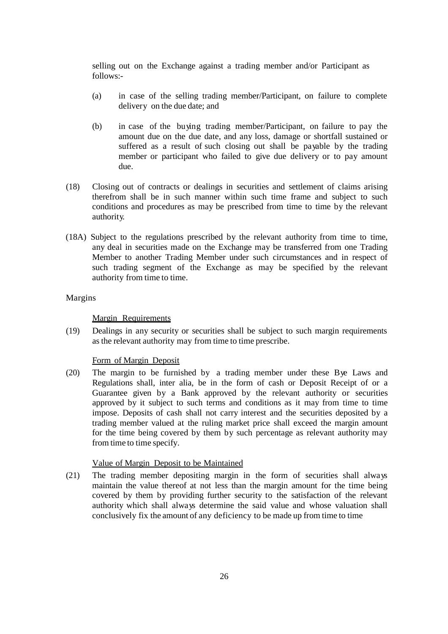selling out on the Exchange against a trading member and/or Participant as follows:-

- (a) in case of the selling trading member/Participant, on failure to complete delivery on the due date; and
- (b) in case of the buying trading member/Participant, on failure to pay the amount due on the due date, and any loss, damage or shortfall sustained or suffered as a result of such closing out shall be payable by the trading member or participant who failed to give due delivery or to pay amount due.
- (18) Closing out of contracts or dealings in securities and settlement of claims arising therefrom shall be in such manner within such time frame and subject to such conditions and procedures as may be prescribed from time to time by the relevant authority.
- (18A) Subject to the regulations prescribed by the relevant authority from time to time, any deal in securities made on the Exchange may be transferred from one Trading Member to another Trading Member under such circumstances and in respect of such trading segment of the Exchange as may be specified by the relevant authority from time to time.

#### Margins

#### Margin Requirements

(19) Dealings in any security or securities shall be subject to such margin requirements asthe relevant authority may from time to time prescribe.

#### Form of Margin Deposit

(20) The margin to be furnished by a trading member under these Bye Laws and Regulations shall, inter alia, be in the form of cash or Deposit Receipt of or a Guarantee given by a Bank approved by the relevant authority or securities approved by it subject to such terms and conditions as it may from time to time impose. Deposits of cash shall not carry interest and the securities deposited by a trading member valued at the ruling market price shall exceed the margin amount for the time being covered by them by such percentage as relevant authority may from time to time specify.

#### Value of Margin Deposit to be Maintained

(21) The trading member depositing margin in the form of securities shall always maintain the value thereof at not less than the margin amount for the time being covered by them by providing further security to the satisfaction of the relevant authority which shall always determine the said value and whose valuation shall conclusively fix the amount of any deficiency to be made up from time to time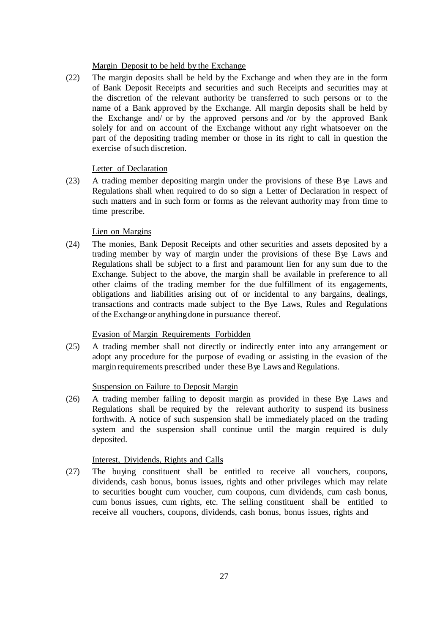## Margin Deposit to be held by the Exchange

(22) The margin deposits shall be held by the Exchange and when they are in the form of Bank Deposit Receipts and securities and such Receipts and securities may at the discretion of the relevant authority be transferred to such persons or to the name of a Bank approved by the Exchange. All margin deposits shall be held by the Exchange and/ or by the approved persons and /or by the approved Bank solely for and on account of the Exchange without any right whatsoever on the part of the depositing trading member or those in its right to call in question the exercise of such discretion.

## Letter of Declaration

(23) A trading member depositing margin under the provisions of these Bye Laws and Regulations shall when required to do so sign a Letter of Declaration in respect of such matters and in such form or forms as the relevant authority may from time to time prescribe.

## Lien on Margins

(24) The monies, Bank Deposit Receipts and other securities and assets deposited by a trading member by way of margin under the provisions of these Bye Laws and Regulations shall be subject to a first and paramount lien for any sum due to the Exchange. Subject to the above, the margin shall be available in preference to all other claims of the trading member for the due fulfillment of its engagements, obligations and liabilities arising out of or incidental to any bargains, dealings, transactions and contracts made subject to the Bye Laws, Rules and Regulations of the Exchangeor anythingdone in pursuance thereof.

## Evasion of Margin Requirements Forbidden

(25) A trading member shall not directly or indirectly enter into any arrangement or adopt any procedure for the purpose of evading or assisting in the evasion of the margin requirements prescribed under these Bye Laws and Regulations.

## Suspension on Failure to Deposit Margin

(26) A trading member failing to deposit margin as provided in these Bye Laws and Regulations shall be required by the relevant authority to suspend its business forthwith. A notice of such suspension shall be immediately placed on the trading system and the suspension shall continue until the margin required is duly deposited.

## Interest, Dividends, Rights and Calls

(27) The buying constituent shall be entitled to receive all vouchers, coupons, dividends, cash bonus, bonus issues, rights and other privileges which may relate to securities bought cum voucher, cum coupons, cum dividends, cum cash bonus, cum bonus issues, cum rights, etc. The selling constituent shall be entitled to receive all vouchers, coupons, dividends, cash bonus, bonus issues, rights and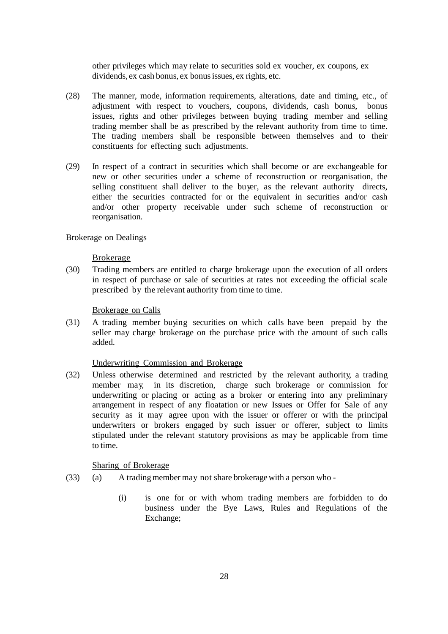other privileges which may relate to securities sold ex voucher, ex coupons, ex dividends, ex cash bonus, ex bonusissues, ex rights, etc.

- (28) The manner, mode, information requirements, alterations, date and timing, etc., of adjustment with respect to vouchers, coupons, dividends, cash bonus, bonus issues, rights and other privileges between buying trading member and selling trading member shall be as prescribed by the relevant authority from time to time. The trading members shall be responsible between themselves and to their constituents for effecting such adjustments.
- (29) In respect of a contract in securities which shall become or are exchangeable for new or other securities under a scheme of reconstruction or reorganisation, the selling constituent shall deliver to the buyer, as the relevant authority directs, either the securities contracted for or the equivalent in securities and/or cash and/or other property receivable under such scheme of reconstruction or reorganisation.

Brokerage on Dealings

#### Brokerage

(30) Trading members are entitled to charge brokerage upon the execution of all orders in respect of purchase or sale of securities at rates not exceeding the official scale prescribed by the relevant authority from time to time.

## Brokerage on Calls

(31) A trading member buying securities on which calls have been prepaid by the seller may charge brokerage on the purchase price with the amount of such calls added.

#### Underwriting Commission and Brokerage

(32) Unless otherwise determined and restricted by the relevant authority, a trading member may, in its discretion, charge such brokerage or commission for underwriting or placing or acting as a broker or entering into any preliminary arrangement in respect of any floatation or new Issues or Offer for Sale of any security as it may agree upon with the issuer or offerer or with the principal underwriters or brokers engaged by such issuer or offerer, subject to limits stipulated under the relevant statutory provisions as may be applicable from time to time.

## Sharing of Brokerage

- (33) (a) A tradingmember may not share brokerage with a person who
	- (i) is one for or with whom trading members are forbidden to do business under the Bye Laws, Rules and Regulations of the Exchange;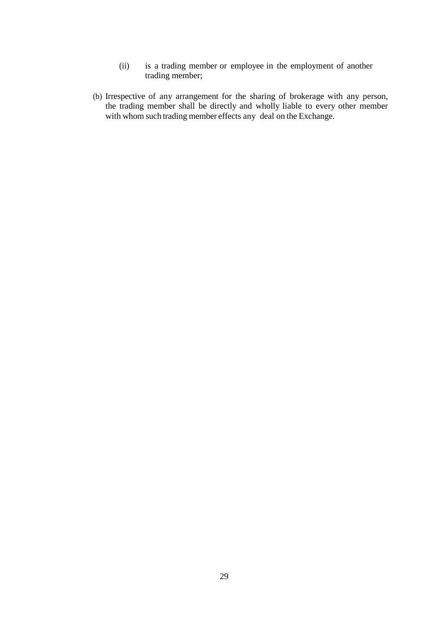- (ii) is a trading member or employee in the employment of another trading member;
- (b) Irrespective of any arrangement for the sharing of brokerage with any person, the trading member shall be directly and wholly liable to every other member with whom such trading member effects any deal on the Exchange.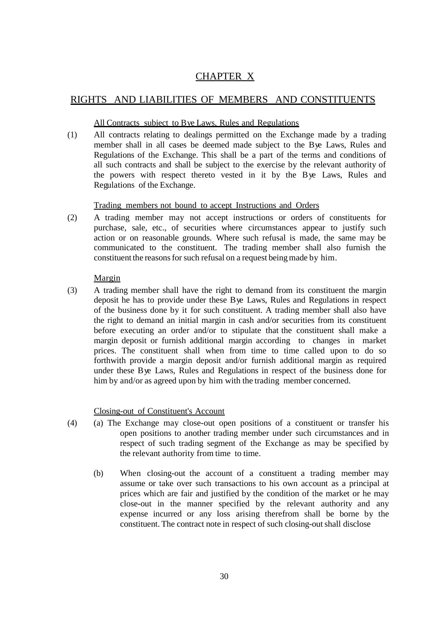# CHAPTER X

# RIGHTS AND LIABILITIES OF MEMBERS AND CONSTITUENTS

## All Contracts subject to Bye Laws, Rules and Regulations

(1) All contracts relating to dealings permitted on the Exchange made by a trading member shall in all cases be deemed made subject to the Bye Laws, Rules and Regulations of the Exchange. This shall be a part of the terms and conditions of all such contracts and shall be subject to the exercise by the relevant authority of the powers with respect thereto vested in it by the Bye Laws, Rules and Regulations of the Exchange.

## Trading members not bound to accept Instructions and Orders

(2) A trading member may not accept instructions or orders of constituents for purchase, sale, etc., of securities where circumstances appear to justify such action or on reasonable grounds. Where such refusal is made, the same may be communicated to the constituent. The trading member shall also furnish the constituent the reasons for such refusal on a request being made by him.

## Margin

(3) A trading member shall have the right to demand from its constituent the margin deposit he has to provide under these Bye Laws, Rules and Regulations in respect of the business done by it for such constituent. A trading member shall also have the right to demand an initial margin in cash and/or securities from its constituent before executing an order and/or to stipulate that the constituent shall make a margin deposit or furnish additional margin according to changes in market prices. The constituent shall when from time to time called upon to do so forthwith provide a margin deposit and/or furnish additional margin as required under these Bye Laws, Rules and Regulations in respect of the business done for him by and/or as agreed upon by him with the trading member concerned.

## Closing-out of Constituent's Account

- (4) (a) The Exchange may close-out open positions of a constituent or transfer his open positions to another trading member under such circumstances and in respect of such trading segment of the Exchange as may be specified by the relevant authority from time to time.
	- (b) When closing-out the account of a constituent a trading member may assume or take over such transactions to his own account as a principal at prices which are fair and justified by the condition of the market or he may close-out in the manner specified by the relevant authority and any expense incurred or any loss arising therefrom shall be borne by the constituent. The contract note in respect of such closing-outshall disclose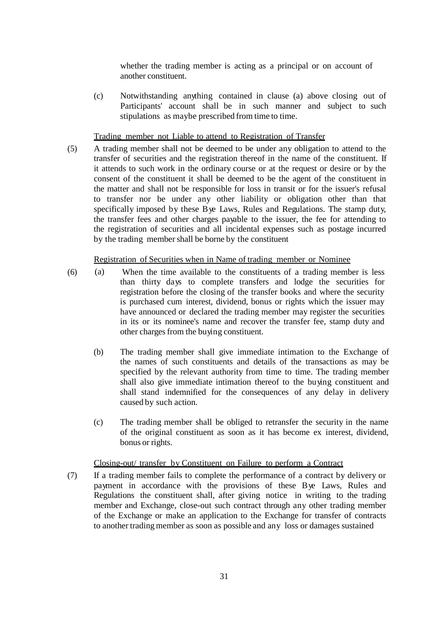whether the trading member is acting as a principal or on account of another constituent.

(c) Notwithstanding anything contained in clause (a) above closing out of Participants' account shall be in such manner and subject to such stipulations as maybe prescribed from time to time.

Trading member not Liable to attend to Registration of Transfer

(5) A trading member shall not be deemed to be under any obligation to attend to the transfer of securities and the registration thereof in the name of the constituent. If it attends to such work in the ordinary course or at the request or desire or by the consent of the constituent it shall be deemed to be the agent of the constituent in the matter and shall not be responsible for loss in transit or for the issuer's refusal to transfer nor be under any other liability or obligation other than that specifically imposed by these Bye Laws, Rules and Regulations. The stamp duty, the transfer fees and other charges payable to the issuer, the fee for attending to the registration of securities and all incidental expenses such as postage incurred by the trading membershall be borne by the constituent

## Registration of Securities when in Name of trading member or Nominee

- (6) (a) When the time available to the constituents of a trading member is less than thirty days to complete transfers and lodge the securities for registration before the closing of the transfer books and where the security is purchased cum interest, dividend, bonus or rights which the issuer may have announced or declared the trading member may register the securities in its or its nominee's name and recover the transfer fee, stamp duty and other charges from the buying constituent.
	- (b) The trading member shall give immediate intimation to the Exchange of the names of such constituents and details of the transactions as may be specified by the relevant authority from time to time. The trading member shall also give immediate intimation thereof to the buying constituent and shall stand indemnified for the consequences of any delay in delivery caused by such action.
	- (c) The trading member shall be obliged to retransfer the security in the name of the original constituent as soon as it has become ex interest, dividend, bonus or rights.

## Closing-out/ transfer by Constituent on Failure to perform a Contract

(7) If a trading member fails to complete the performance of a contract by delivery or payment in accordance with the provisions of these Bye Laws, Rules and Regulations the constituent shall, after giving notice in writing to the trading member and Exchange, close-out such contract through any other trading member of the Exchange or make an application to the Exchange for transfer of contracts to another trading member as soon as possible and any loss or damages sustained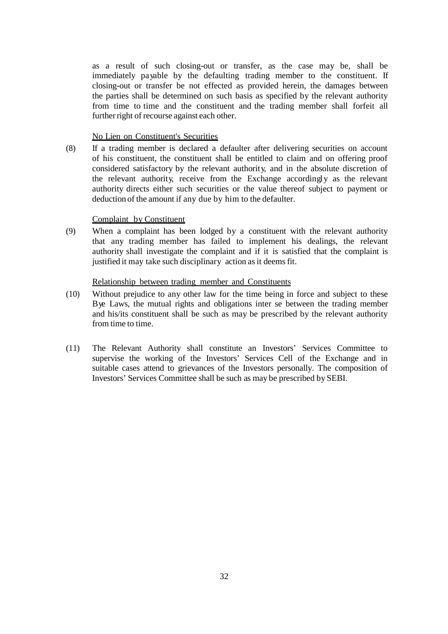as a result of such closing-out or transfer, as the case may be, shall be immediately payable by the defaulting trading member to the constituent. If closing-out or transfer be not effected as provided herein, the damages between the parties shall be determined on such basis as specified by the relevant authority from time to time and the constituent and the trading member shall forfeit all further right of recourse against each other.

#### No Lien on Constituent's Securities

(8) If a trading member is declared a defaulter after delivering securities on account of his constituent, the constituent shall be entitled to claim and on offering proof considered satisfactory by the relevant authority, and in the absolute discretion of the relevant authority, receive from the Exchange accordingly as the relevant authority directs either such securities or the value thereof subject to payment or deduction of the amount if any due by him to the defaulter.

### Complaint by Constituent

(9) When a complaint has been lodged by a constituent with the relevant authority that any trading member has failed to implement his dealings, the relevant authority shall investigate the complaint and if it is satisfied that the complaint is justified it may take such disciplinary action as it deems fit.

### Relationship between trading member and Constituents

- (10) Without prejudice to any other law for the time being in force and subject to these Bye Laws, the mutual rights and obligations inter se between the trading member and his/its constituent shall be such as may be prescribed by the relevant authority from time to time.
- (11) The Relevant Authority shall constitute an Investors' Services Committee to supervise the working of the Investors' Services Cell of the Exchange and in suitable cases attend to grievances of the Investors personally. The composition of Investors' Services Committee shall be such as may be prescribed by SEBI.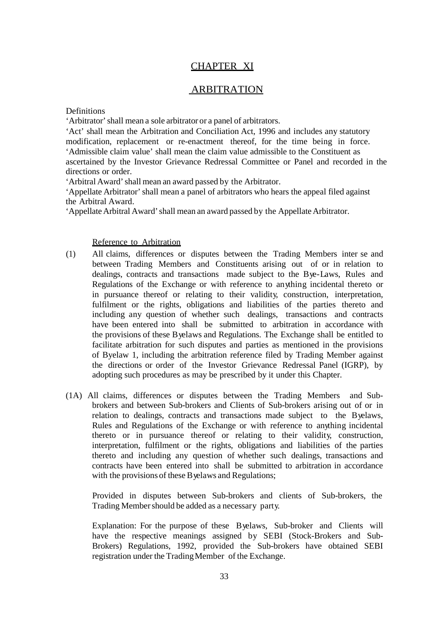## CHAPTER XI

## ARBITRATION

Definitions

'Arbitrator'shall mean a sole arbitrator or a panel of arbitrators.

'Act' shall mean the Arbitration and Conciliation Act, 1996 and includes any statutory modification, replacement or re-enactment thereof, for the time being in force. 'Admissible claim value' shall mean the claim value admissible to the Constituent as ascertained by the Investor Grievance Redressal Committee or Panel and recorded in the directions or order.

'Arbitral Award'shall mean an award passed by the Arbitrator.

'Appellate Arbitrator'shall mean a panel of arbitrators who hears the appeal filed against the Arbitral Award.

'Appellate Arbitral Award' shall mean an award passed by the Appellate Arbitrator.

Reference to Arbitration

- (1) All claims, differences or disputes between the Trading Members inter se and between Trading Members and Constituents arising out of or in relation to dealings, contracts and transactions made subject to the Bye-Laws, Rules and Regulations of the Exchange or with reference to anything incidental thereto or in pursuance thereof or relating to their validity, construction, interpretation, fulfilment or the rights, obligations and liabilities of the parties thereto and including any question of whether such dealings, transactions and contracts have been entered into shall be submitted to arbitration in accordance with the provisions of these Byelaws and Regulations. The Exchange shall be entitled to facilitate arbitration for such disputes and parties as mentioned in the provisions of Byelaw 1, including the arbitration reference filed by Trading Member against the directions or order of the Investor Grievance Redressal Panel (IGRP), by adopting such procedures as may be prescribed by it under this Chapter.
- (1A) All claims, differences or disputes between the Trading Members and Subbrokers and between Sub-brokers and Clients of Sub-brokers arising out of or in relation to dealings, contracts and transactions made subject to the Byelaws, Rules and Regulations of the Exchange or with reference to anything incidental thereto or in pursuance thereof or relating to their validity, construction, interpretation, fulfilment or the rights, obligations and liabilities of the parties thereto and including any question of whether such dealings, transactions and contracts have been entered into shall be submitted to arbitration in accordance with the provisions of these B yelaws and Regulations;

Provided in disputes between Sub-brokers and clients of Sub-brokers, the Trading Member should be added as a necessary party.

Explanation: For the purpose of these Byelaws, Sub-broker and Clients will have the respective meanings assigned by SEBI (Stock-Brokers and Sub-Brokers) Regulations, 1992, provided the Sub-brokers have obtained SEBI registration under the TradingMember of the Exchange.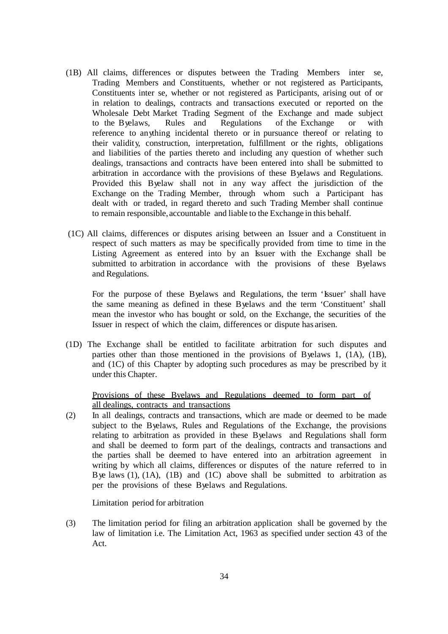- (1B) All claims, differences or disputes between the Trading Members inter se, Trading Members and Constituents, whether or not registered as Participants, Constituents inter se, whether or not registered as Participants, arising out of or in relation to dealings, contracts and transactions executed or reported on the Wholesale Debt Market Trading Segment of the Exchange and made subject to the Byelaws, Rules and Regulations of the Exchange or with reference to anything incidental thereto or in pursuance thereof or relating to their validity, construction, interpretation, fulfillment or the rights, obligations and liabilities of the parties thereto and including any question of whether such dealings, transactions and contracts have been entered into shall be submitted to arbitration in accordance with the provisions of these Byelaws and Regulations. Provided this Byelaw shall not in any way affect the jurisdiction of the Exchange on the Trading Member, through whom such a Participant has dealt with or traded, in regard thereto and such Trading Member shall continue to remain responsible, accountable and liable to the Exchange in this behalf.
- (1C) All claims, differences or disputes arising between an Issuer and a Constituent in respect of such matters as may be specifically provided from time to time in the Listing Agreement as entered into by an Issuer with the Exchange shall be submitted to arbitration in accordance with the provisions of these Byelaws and Regulations.

For the purpose of these Byelaws and Regulations, the term 'Issuer' shall have the same meaning as defined in these Byelaws and the term 'Constituent' shall mean the investor who has bought or sold, on the Exchange, the securities of the Issuer in respect of which the claim, differences or dispute has arisen.

(1D) The Exchange shall be entitled to facilitate arbitration for such disputes and parties other than those mentioned in the provisions of Byelaws 1, (1A), (1B), and (1C) of this Chapter by adopting such procedures as may be prescribed by it under this Chapter.

## Provisions of these Byelaws and Regulations deemed to form part of all dealings, contracts and transactions

(2) In all dealings, contracts and transactions, which are made or deemed to be made subject to the Byelaws, Rules and Regulations of the Exchange, the provisions relating to arbitration as provided in these Byelaws and Regulations shall form and shall be deemed to form part of the dealings, contracts and transactions and the parties shall be deemed to have entered into an arbitration agreement in writing by which all claims, differences or disputes of the nature referred to in Bye laws  $(1)$ ,  $(1A)$ ,  $(1B)$  and  $(1C)$  above shall be submitted to arbitration as per the provisions of these Byelaws and Regulations.

Limitation period for arbitration

(3) The limitation period for filing an arbitration application shall be governed by the law of limitation i.e. The Limitation Act, 1963 as specified under section 43 of the Act.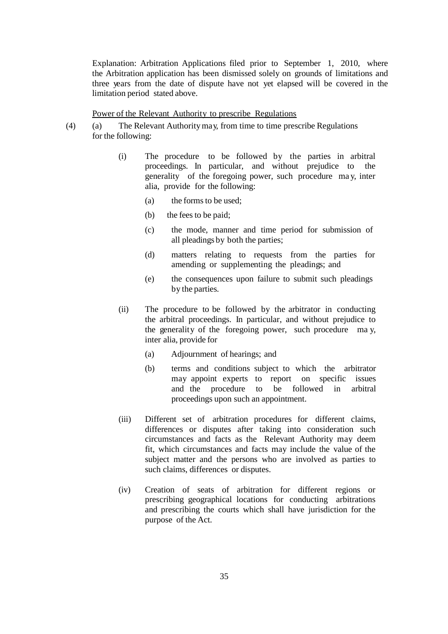Explanation: Arbitration Applications filed prior to September 1, 2010, where the Arbitration application has been dismissed solely on grounds of limitations and three years from the date of dispute have not yet elapsed will be covered in the limitation period stated above.

## Power of the Relevant Authority to prescribe Regulations

- (4) (a) The Relevant Authoritymay, from time to time prescribe Regulations for the following:
	- (i) The procedure to be followed by the parties in arbitral proceedings. In particular, and without prejudice to the generality of the foregoing power, such procedure ma y, inter alia, provide for the following:
		- (a) the forms to be used;
		- (b) the fees to be paid;
		- (c) the mode, manner and time period for submission of all pleadings by both the parties;
		- (d) matters relating to requests from the parties for amending or supplementing the pleadings; and
		- (e) the consequences upon failure to submit such pleadings by the parties.
	- (ii) The procedure to be followed by the arbitrator in conducting the arbitral proceedings. In particular, and without prejudice to the generality of the foregoing power, such procedure ma y, inter alia, provide for
		- (a) Adjournment of hearings; and
		- (b) terms and conditions subject to which the arbitrator may appoint experts to report on specific issues and the procedure to be followed in arbitral proceedings upon such an appointment.
	- (iii) Different set of arbitration procedures for different claims, differences or disputes after taking into consideration such circumstances and facts as the Relevant Authority may deem fit, which circumstances and facts may include the value of the subject matter and the persons who are involved as parties to such claims, differences or disputes.
	- (iv) Creation of seats of arbitration for different regions or prescribing geographical locations for conducting arbitrations and prescribing the courts which shall have jurisdiction for the purpose of the Act.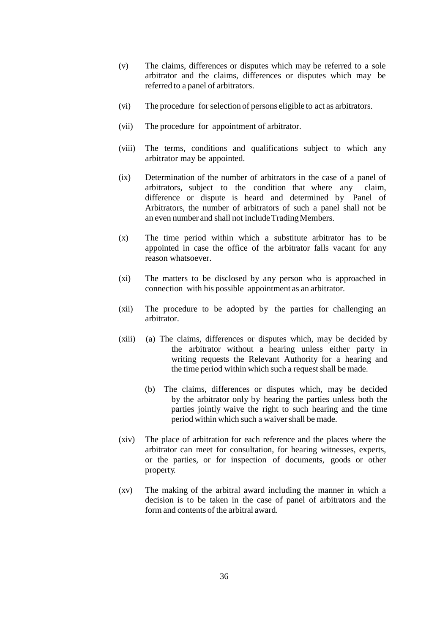- (v) The claims, differences or disputes which may be referred to a sole arbitrator and the claims, differences or disputes which may be referred to a panel of arbitrators.
- (vi) The procedure for selection of persons eligible to act as arbitrators.
- (vii) The procedure for appointment of arbitrator.
- (viii) The terms, conditions and qualifications subject to which any arbitrator may be appointed.
- (ix) Determination of the number of arbitrators in the case of a panel of arbitrators, subject to the condition that where any claim, difference or dispute is heard and determined by Panel of Arbitrators, the number of arbitrators of such a panel shall not be an even number and shall not include Trading Members.
- (x) The time period within which a substitute arbitrator has to be appointed in case the office of the arbitrator falls vacant for any reason whatsoever.
- (xi) The matters to be disclosed by any person who is approached in connection with his possible appointment as an arbitrator.
- (xii) The procedure to be adopted by the parties for challenging an arbitrator.
- (xiii) (a) The claims, differences or disputes which, may be decided by the arbitrator without a hearing unless either party in writing requests the Relevant Authority for a hearing and the time period within which such a request shall be made.
	- (b) The claims, differences or disputes which, may be decided by the arbitrator only by hearing the parties unless both the parties jointly waive the right to such hearing and the time period within which such a waivershall be made.
- (xiv) The place of arbitration for each reference and the places where the arbitrator can meet for consultation, for hearing witnesses, experts, or the parties, or for inspection of documents, goods or other property.
- (xv) The making of the arbitral award including the manner in which a decision is to be taken in the case of panel of arbitrators and the form and contents of the arbitral award.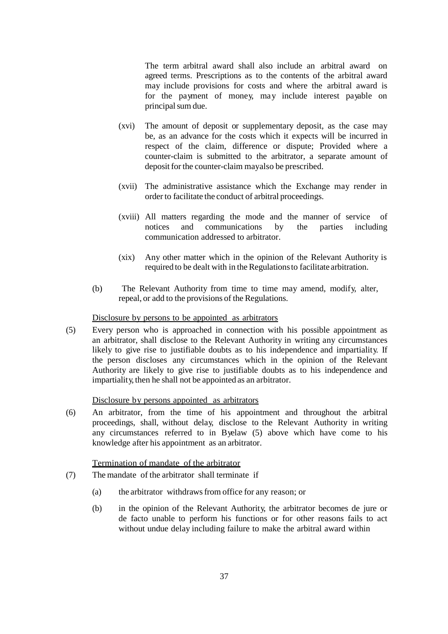The term arbitral award shall also include an arbitral award on agreed terms. Prescriptions as to the contents of the arbitral award may include provisions for costs and where the arbitral award is for the payment of money, may include interest payable on principal sum due.

- (xvi) The amount of deposit or supplementary deposit, as the case may be, as an advance for the costs which it expects will be incurred in respect of the claim, difference or dispute; Provided where a counter-claim is submitted to the arbitrator, a separate amount of deposit for the counter-claim mayalso be prescribed.
- (xvii) The administrative assistance which the Exchange may render in order to facilitate the conduct of arbitral proceedings.
- (xviii) All matters regarding the mode and the manner of service of notices and communications by the parties including communication addressed to arbitrator.
- (xix) Any other matter which in the opinion of the Relevant Authority is required to be dealt with in the Regulations to facilitate arbitration.
- (b) The Relevant Authority from time to time may amend, modify, alter, repeal, or add to the provisions of the Regulations.

## Disclosure by persons to be appointed as arbitrators

(5) Every person who is approached in connection with his possible appointment as an arbitrator, shall disclose to the Relevant Authority in writing any circumstances likely to give rise to justifiable doubts as to his independence and impartiality. If the person discloses any circumstances which in the opinion of the Relevant Authority are likely to give rise to justifiable doubts as to his independence and impartiality, then he shall not be appointed as an arbitrator.

#### Disclosure by persons appointed as arbitrators

(6) An arbitrator, from the time of his appointment and throughout the arbitral proceedings, shall, without delay, disclose to the Relevant Authority in writing any circumstances referred to in Byelaw (5) above which have come to his knowledge after his appointment as an arbitrator.

#### Termination of mandate of the arbitrator

- (7) The mandate of the arbitrator shall terminate if
	- (a) the arbitrator withdrawsfrom office for any reason; or
	- (b) in the opinion of the Relevant Authority, the arbitrator becomes de jure or de facto unable to perform his functions or for other reasons fails to act without undue delay including failure to make the arbitral award within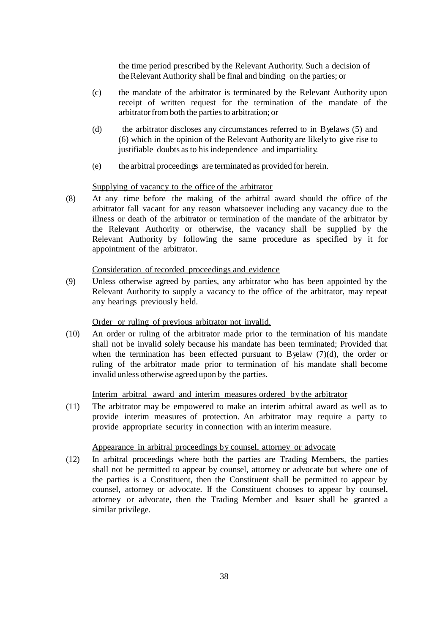the time period prescribed by the Relevant Authority. Such a decision of theRelevant Authority shall be final and binding on the parties; or

- (c) the mandate of the arbitrator is terminated by the Relevant Authority upon receipt of written request for the termination of the mandate of the arbitrator from both the parties to arbitration; or
- (d) the arbitrator discloses any circumstances referred to in Byelaws (5) and (6) which in the opinion of the Relevant Authority are likely to give rise to justifiable doubts as to his independence and impartiality.
- (e) the arbitral proceedings are terminated as provided for herein.

#### Supplying of vacancy to the office of the arbitrator

(8) At any time before the making of the arbitral award should the office of the arbitrator fall vacant for any reason whatsoever including any vacancy due to the illness or death of the arbitrator or termination of the mandate of the arbitrator by the Relevant Authority or otherwise, the vacancy shall be supplied by the Relevant Authority by following the same procedure as specified by it for appointment of the arbitrator.

### Consideration of recorded proceedings and evidence

(9) Unless otherwise agreed by parties, any arbitrator who has been appointed by the Relevant Authority to supply a vacancy to the office of the arbitrator, may repeat any hearings previously held.

#### Order or ruling of previous arbitrator not invalid.

(10) An order or ruling of the arbitrator made prior to the termination of his mandate shall not be invalid solely because his mandate has been terminated; Provided that when the termination has been effected pursuant to Byelaw (7)(d), the order or ruling of the arbitrator made prior to termination of his mandate shall become invalid unless otherwise agreed upon by the parties.

#### Interim arbitral award and interim measures ordered by the arbitrator

(11) The arbitrator may be empowered to make an interim arbitral award as well as to provide interim measures of protection. An arbitrator may require a party to provide appropriate security in connection with an interim measure.

#### Appearance in arbitral proceedings by counsel, attorney or advocate

(12) In arbitral proceedings where both the parties are Trading Members, the parties shall not be permitted to appear by counsel, attorney or advocate but where one of the parties is a Constituent, then the Constituent shall be permitted to appear by counsel, attorney or advocate. If the Constituent chooses to appear by counsel, attorney or advocate, then the Trading Member and Issuer shall be granted a similar privilege.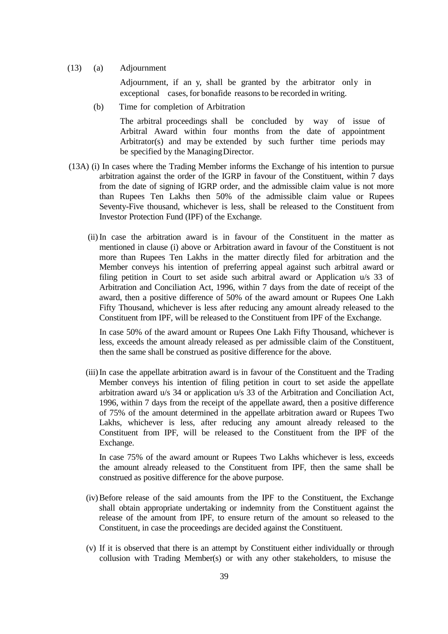(13) (a) Adjournment

Adjournment, if an y, shall be granted by the arbitrator only in exceptional cases, for bonafide reasons to be recorded in writing.

(b) Time for completion of Arbitration

The arbitral proceedings shall be concluded by way of issue of Arbitral Award within four months from the date of appointment Arbitrator(s) and may be extended by such further time periods may be specified by the ManagingDirector.

- (13A) (i) In cases where the Trading Member informs the Exchange of his intention to pursue arbitration against the order of the IGRP in favour of the Constituent, within 7 days from the date of signing of IGRP order, and the admissible claim value is not more than Rupees Ten Lakhs then 50% of the admissible claim value or Rupees Seventy-Five thousand, whichever is less, shall be released to the Constituent from Investor Protection Fund (IPF) of the Exchange.
	- (ii)In case the arbitration award is in favour of the Constituent in the matter as mentioned in clause (i) above or Arbitration award in favour of the Constituent is not more than Rupees Ten Lakhs in the matter directly filed for arbitration and the Member conveys his intention of preferring appeal against such arbitral award or filing petition in Court to set aside such arbitral award or Application u/s 33 of Arbitration and Conciliation Act, 1996, within 7 days from the date of receipt of the award, then a positive difference of 50% of the award amount or Rupees One Lakh Fifty Thousand, whichever is less after reducing any amount already released to the Constituent from IPF, will be released to the Constituent from IPF of the Exchange.

In case 50% of the award amount or Rupees One Lakh Fifty Thousand, whichever is less, exceeds the amount already released as per admissible claim of the Constituent, then the same shall be construed as positive difference for the above.

(iii)In case the appellate arbitration award is in favour of the Constituent and the Trading Member conveys his intention of filing petition in court to set aside the appellate arbitration award u/s 34 or application u/s 33 of the Arbitration and Conciliation Act, 1996, within 7 days from the receipt of the appellate award, then a positive difference of 75% of the amount determined in the appellate arbitration award or Rupees Two Lakhs, whichever is less, after reducing any amount already released to the Constituent from IPF, will be released to the Constituent from the IPF of the Exchange.

In case 75% of the award amount or Rupees Two Lakhs whichever is less, exceeds the amount already released to the Constituent from IPF, then the same shall be construed as positive difference for the above purpose.

- (iv)Before release of the said amounts from the IPF to the Constituent, the Exchange shall obtain appropriate undertaking or indemnity from the Constituent against the release of the amount from IPF, to ensure return of the amount so released to the Constituent, in case the proceedings are decided against the Constituent.
- (v) If it is observed that there is an attempt by Constituent either individually or through collusion with Trading Member(s) or with any other stakeholders, to misuse the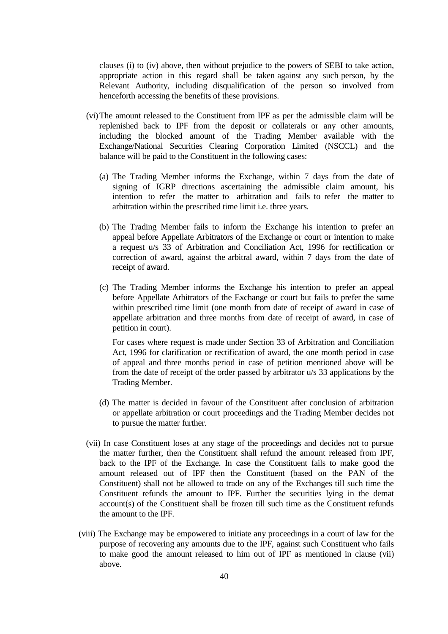clauses (i) to (iv) above, then without prejudice to the powers of SEBI to take action, appropriate action in this regard shall be taken against any such person, by the Relevant Authority, including disqualification of the person so involved from henceforth accessing the benefits of these provisions.

- (vi)The amount released to the Constituent from IPF as per the admissible claim will be replenished back to IPF from the deposit or collaterals or any other amounts, including the blocked amount of the Trading Member available with the Exchange/National Securities Clearing Corporation Limited (NSCCL) and the balance will be paid to the Constituent in the following cases:
	- (a) The Trading Member informs the Exchange, within 7 days from the date of signing of IGRP directions ascertaining the admissible claim amount, his intention to refer the matter to arbitration and fails to refer the matter to arbitration within the prescribed time limit i.e. three years.
	- (b) The Trading Member fails to inform the Exchange his intention to prefer an appeal before Appellate Arbitrators of the Exchange or court or intention to make a request u/s 33 of Arbitration and Conciliation Act, 1996 for rectification or correction of award, against the arbitral award, within 7 days from the date of receipt of award.
	- (c) The Trading Member informs the Exchange his intention to prefer an appeal before Appellate Arbitrators of the Exchange or court but fails to prefer the same within prescribed time limit (one month from date of receipt of award in case of appellate arbitration and three months from date of receipt of award, in case of petition in court).

For cases where request is made under Section 33 of Arbitration and Conciliation Act, 1996 for clarification or rectification of award, the one month period in case of appeal and three months period in case of petition mentioned above will be from the date of receipt of the order passed by arbitrator u/s 33 applications by the Trading Member.

- (d) The matter is decided in favour of the Constituent after conclusion of arbitration or appellate arbitration or court proceedings and the Trading Member decides not to pursue the matter further.
- (vii) In case Constituent loses at any stage of the proceedings and decides not to pursue the matter further, then the Constituent shall refund the amount released from IPF, back to the IPF of the Exchange. In case the Constituent fails to make good the amount released out of IPF then the Constituent (based on the PAN of the Constituent) shall not be allowed to trade on any of the Exchanges till such time the Constituent refunds the amount to IPF. Further the securities lying in the demat account(s) of the Constituent shall be frozen till such time as the Constituent refunds the amount to the IPF.
- (viii) The Exchange may be empowered to initiate any proceedings in a court of law for the purpose of recovering any amounts due to the IPF, against such Constituent who fails to make good the amount released to him out of IPF as mentioned in clause (vii) above.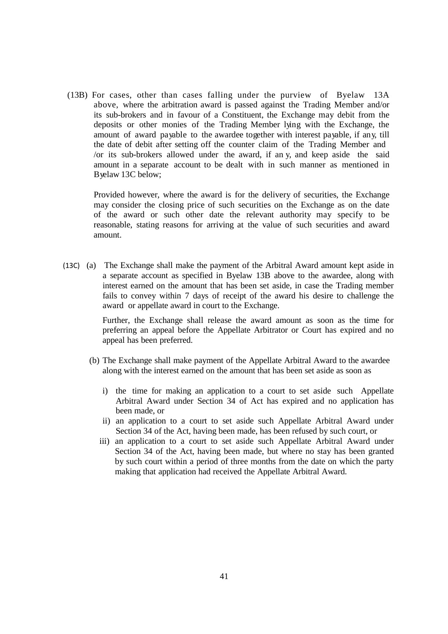(13B) For cases, other than cases falling under the purview of Byelaw 13A above, where the arbitration award is passed against the Trading Member and/or its sub-brokers and in favour of a Constituent, the Exchange may debit from the deposits or other monies of the Trading Member lying with the Exchange, the amount of award payable to the awardee together with interest payable, if any, till the date of debit after setting off the counter claim of the Trading Member and /or its sub-brokers allowed under the award, if an y, and keep aside the said amount in a separate account to be dealt with in such manner as mentioned in Byelaw 13C below;

Provided however, where the award is for the delivery of securities, the Exchange may consider the closing price of such securities on the Exchange as on the date of the award or such other date the relevant authority may specify to be reasonable, stating reasons for arriving at the value of such securities and award amount.

(13C) (a) The Exchange shall make the payment of the Arbitral Award amount kept aside in a separate account as specified in Byelaw 13B above to the awardee, along with interest earned on the amount that has been set aside, in case the Trading member fails to convey within 7 days of receipt of the award his desire to challenge the award or appellate award in court to the Exchange.

> Further, the Exchange shall release the award amount as soon as the time for preferring an appeal before the Appellate Arbitrator or Court has expired and no appeal has been preferred.

- (b) The Exchange shall make payment of the Appellate Arbitral Award to the awardee along with the interest earned on the amount that has been set aside as soon as
	- i) the time for making an application to a court to set aside such Appellate Arbitral Award under Section 34 of Act has expired and no application has been made, or
	- ii) an application to a court to set aside such Appellate Arbitral Award under Section 34 of the Act, having been made, has been refused by such court, or
	- iii) an application to a court to set aside such Appellate Arbitral Award under Section 34 of the Act, having been made, but where no stay has been granted by such court within a period of three months from the date on which the party making that application had received the Appellate Arbitral Award.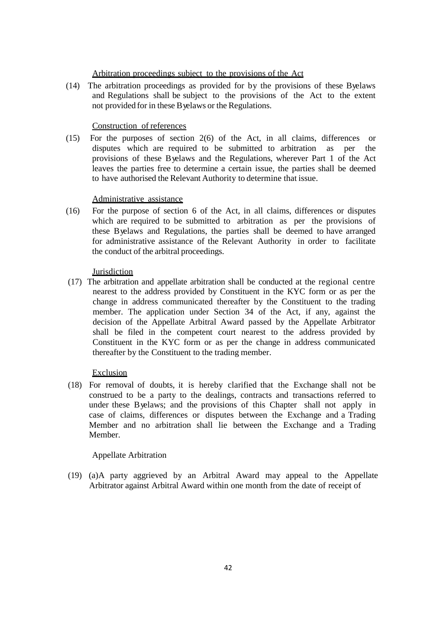#### Arbitration proceedings subject to the provisions of the Act

(14) The arbitration proceedings as provided for by the provisions of these Byelaws and Regulations shall be subject to the provisions of the Act to the extent not provided for in these Byelaws or the Regulations.

## Construction of references

(15) For the purposes of section 2(6) of the Act, in all claims, differences or disputes which are required to be submitted to arbitration as per the provisions of these Byelaws and the Regulations, wherever Part 1 of the Act leaves the parties free to determine a certain issue, the parties shall be deemed to have authorised the Relevant Authority to determine that issue.

#### Administrative assistance

(16) For the purpose of section 6 of the Act, in all claims, differences or disputes which are required to be submitted to arbitration as per the provisions of these Byelaws and Regulations, the parties shall be deemed to have arranged for administrative assistance of the Relevant Authority in order to facilitate the conduct of the arbitral proceedings.

#### **Jurisdiction**

(17) The arbitration and appellate arbitration shall be conducted at the regional centre nearest to the address provided by Constituent in the KYC form or as per the change in address communicated thereafter by the Constituent to the trading member. The application under Section 34 of the Act, if any, against the decision of the Appellate Arbitral Award passed by the Appellate Arbitrator shall be filed in the competent court nearest to the address provided by Constituent in the KYC form or as per the change in address communicated thereafter by the Constituent to the trading member.

## **Exclusion**

(18) For removal of doubts, it is hereby clarified that the Exchange shall not be construed to be a party to the dealings, contracts and transactions referred to under these Byelaws; and the provisions of this Chapter shall not apply in case of claims, differences or disputes between the Exchange and a Trading Member and no arbitration shall lie between the Exchange and a Trading Member.

#### Appellate Arbitration

(19) (a)A party aggrieved by an Arbitral Award may appeal to the Appellate Arbitrator against Arbitral Award within one month from the date of receipt of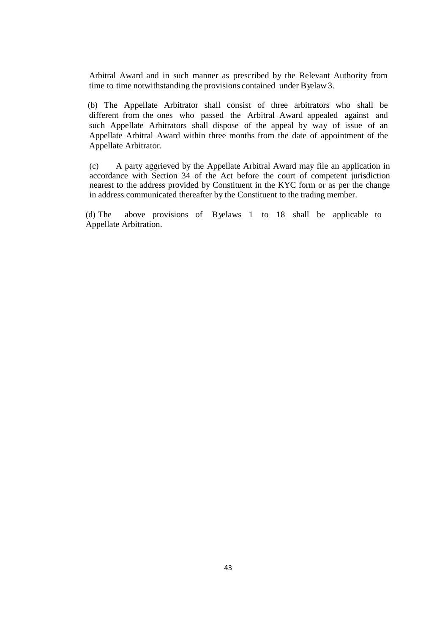Arbitral Award and in such manner as prescribed by the Relevant Authority from time to time notwithstanding the provisions contained under Byelaw3.

(b) The Appellate Arbitrator shall consist of three arbitrators who shall be different from the ones who passed the Arbitral Award appealed against and such Appellate Arbitrators shall dispose of the appeal by way of issue of an Appellate Arbitral Award within three months from the date of appointment of the Appellate Arbitrator.

(c) A party aggrieved by the Appellate Arbitral Award may file an application in accordance with Section 34 of the Act before the court of competent jurisdiction nearest to the address provided by Constituent in the KYC form or as per the change in address communicated thereafter by the Constituent to the trading member.

(d) The above provisions of Byelaws 1 to 18 shall be applicable to Appellate Arbitration.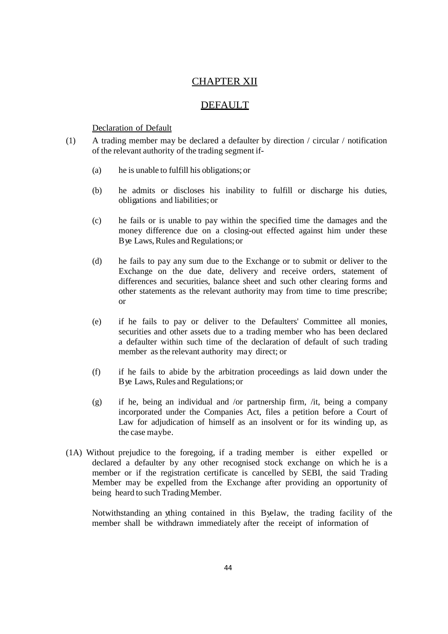## CHAPTER XII

## **DEFAULT**

## Declaration of Default

- (1) A trading member may be declared a defaulter by direction / circular / notification of the relevant authority of the trading segment if-
	- (a) he is unable to fulfill his obligations; or
	- (b) he admits or discloses his inability to fulfill or discharge his duties, obligations and liabilities; or
	- (c) he fails or is unable to pay within the specified time the damages and the money difference due on a closing-out effected against him under these Bye Laws, Rules and Regulations; or
	- (d) he fails to pay any sum due to the Exchange or to submit or deliver to the Exchange on the due date, delivery and receive orders, statement of differences and securities, balance sheet and such other clearing forms and other statements as the relevant authority may from time to time prescribe; or
	- (e) if he fails to pay or deliver to the Defaulters' Committee all monies, securities and other assets due to a trading member who has been declared a defaulter within such time of the declaration of default of such trading member as the relevant authority may direct; or
	- (f) if he fails to abide by the arbitration proceedings as laid down under the Bye Laws, Rules and Regulations; or
	- (g) if he, being an individual and /or partnership firm, /it, being a company incorporated under the Companies Act, files a petition before a Court of Law for adjudication of himself as an insolvent or for its winding up, as the case maybe.
- (1A) Without prejudice to the foregoing, if a trading member is either expelled or declared a defaulter by any other recognised stock exchange on which he is a member or if the registration certificate is cancelled by SEBI, the said Trading Member may be expelled from the Exchange after providing an opportunity of being heard to such Trading Member.

Notwithstanding an ything contained in this Byelaw, the trading facility of the member shall be withdrawn immediately after the receipt of information of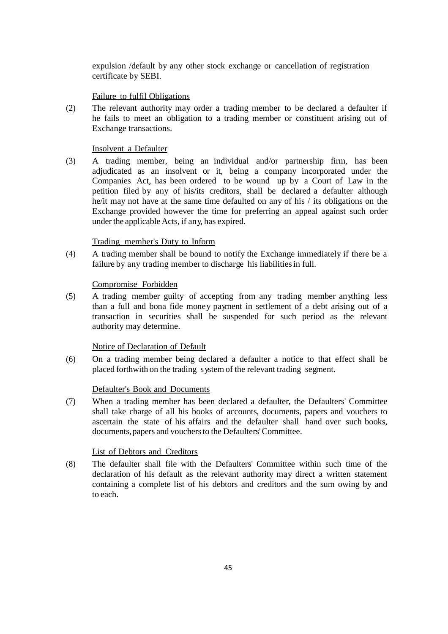expulsion /default by any other stock exchange or cancellation of registration certificate by SEBI.

## Failure to fulfil Obligations

(2) The relevant authority may order a trading member to be declared a defaulter if he fails to meet an obligation to a trading member or constituent arising out of Exchange transactions.

## Insolvent a Defaulter

(3) A trading member, being an individual and/or partnership firm, has been adjudicated as an insolvent or it, being a company incorporated under the Companies Act, has been ordered to be wound up by a Court of Law in the petition filed by any of his/its creditors, shall be declared a defaulter although he/it may not have at the same time defaulted on any of his / its obligations on the Exchange provided however the time for preferring an appeal against such order under the applicable Acts, if any, has expired.

## Trading member's Duty to Inform

(4) A trading member shall be bound to notify the Exchange immediately if there be a failure by any trading member to discharge his liabilitiesin full.

## Compromise Forbidden

(5) A trading member guilty of accepting from any trading member anything less than a full and bona fide money payment in settlement of a debt arising out of a transaction in securities shall be suspended for such period as the relevant authority may determine.

## Notice of Declaration of Default

(6) On a trading member being declared a defaulter a notice to that effect shall be placed forthwith on the trading system of the relevant trading segment.

## Defaulter's Book and Documents

(7) When a trading member has been declared a defaulter, the Defaulters' Committee shall take charge of all his books of accounts, documents, papers and vouchers to ascertain the state of his affairs and the defaulter shall hand over such books, documents, papers and vouchers to the Defaulters' Committee.

## List of Debtors and Creditors

(8) The defaulter shall file with the Defaulters' Committee within such time of the declaration of his default as the relevant authority may direct a written statement containing a complete list of his debtors and creditors and the sum owing by and to each.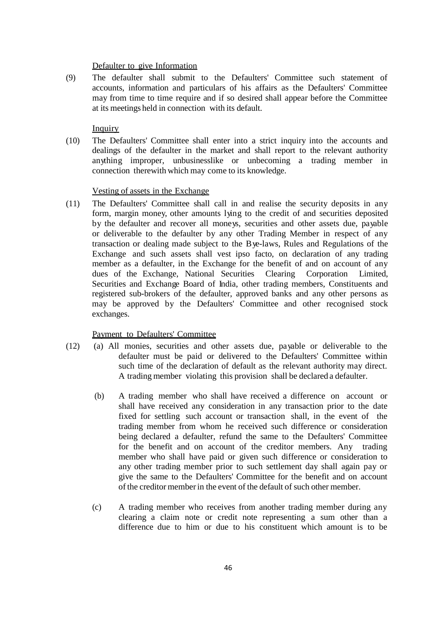#### Defaulter to give Information

(9) The defaulter shall submit to the Defaulters' Committee such statement of accounts, information and particulars of his affairs as the Defaulters' Committee may from time to time require and if so desired shall appear before the Committee at its meetings held in connection with its default.

## **Inquiry**

(10) The Defaulters' Committee shall enter into a strict inquiry into the accounts and dealings of the defaulter in the market and shall report to the relevant authority anything improper, unbusinesslike or unbecoming a trading member in connection therewith which may come to its knowledge.

#### Vesting of assets in the Exchange

(11) The Defaulters' Committee shall call in and realise the security deposits in any form, margin money, other amounts lying to the credit of and securities deposited by the defaulter and recover all moneys, securities and other assets due, payable or deliverable to the defaulter by any other Trading Member in respect of any transaction or dealing made subject to the Bye-laws, Rules and Regulations of the Exchange and such assets shall vest ipso facto, on declaration of any trading member as a defaulter, in the Exchange for the benefit of and on account of any dues of the Exchange, National Securities Clearing Corporation Limited, Securities and Exchange Board of India, other trading members, Constituents and registered sub-brokers of the defaulter, approved banks and any other persons as may be approved by the Defaulters' Committee and other recognised stock exchanges.

#### Payment to Defaulters' Committee

- (12) (a) All monies, securities and other assets due, payable or deliverable to the defaulter must be paid or delivered to the Defaulters' Committee within such time of the declaration of default as the relevant authority may direct. A trading member violating this provision shall be declared a defaulter.
	- (b) A trading member who shall have received a difference on account or shall have received any consideration in any transaction prior to the date fixed for settling such account or transaction shall, in the event of the trading member from whom he received such difference or consideration being declared a defaulter, refund the same to the Defaulters' Committee for the benefit and on account of the creditor members. Any trading member who shall have paid or given such difference or consideration to any other trading member prior to such settlement day shall again pay or give the same to the Defaulters' Committee for the benefit and on account of the creditor memberin the event of the default of such other member.
	- (c) A trading member who receives from another trading member during any clearing a claim note or credit note representing a sum other than a difference due to him or due to his constituent which amount is to be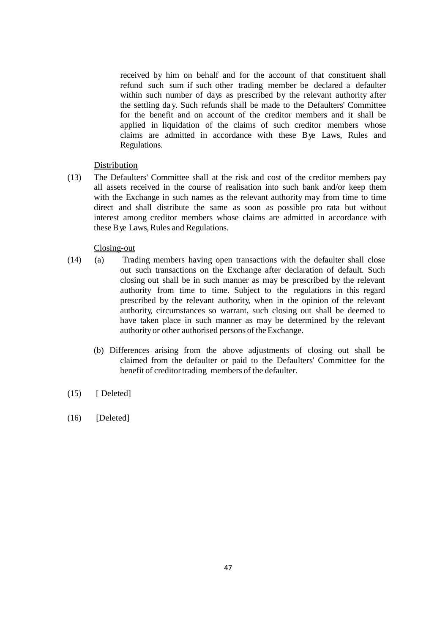received by him on behalf and for the account of that constituent shall refund such sum if such other trading member be declared a defaulter within such number of days as prescribed by the relevant authority after the settling da y. Such refunds shall be made to the Defaulters' Committee for the benefit and on account of the creditor members and it shall be applied in liquidation of the claims of such creditor members whose claims are admitted in accordance with these Bye Laws, Rules and Regulations.

## **Distribution**

(13) The Defaulters' Committee shall at the risk and cost of the creditor members pay all assets received in the course of realisation into such bank and/or keep them with the Exchange in such names as the relevant authority may from time to time direct and shall distribute the same as soon as possible pro rata but without interest among creditor members whose claims are admitted in accordance with these B ve Laws, Rules and Regulations.

## Closing-out

- (14) (a) Trading members having open transactions with the defaulter shall close out such transactions on the Exchange after declaration of default. Such closing out shall be in such manner as may be prescribed by the relevant authority from time to time. Subject to the regulations in this regard prescribed by the relevant authority, when in the opinion of the relevant authority, circumstances so warrant, such closing out shall be deemed to have taken place in such manner as may be determined by the relevant authority or other authorised persons of theExchange.
	- (b) Differences arising from the above adjustments of closing out shall be claimed from the defaulter or paid to the Defaulters' Committee for the benefit of creditor trading members of the defaulter.
- $(15)$  [Deleted]
- $(16)$  [Deleted]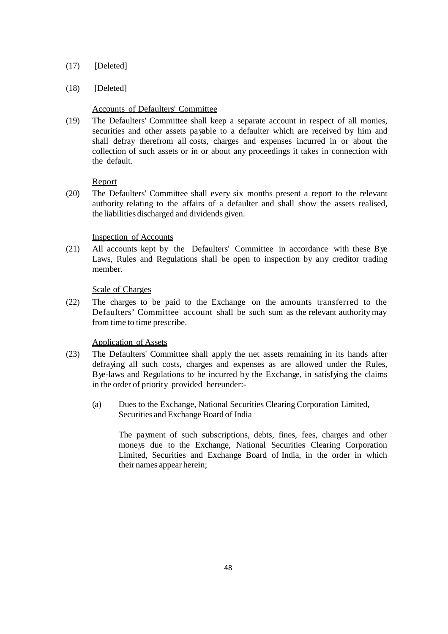## (17) [Deleted]

## (18) [Deleted]

## Accounts of Defaulters' Committee

(19) The Defaulters' Committee shall keep a separate account in respect of all monies, securities and other assets payable to a defaulter which are received by him and shall defray therefrom all costs, charges and expenses incurred in or about the collection of such assets or in or about any proceedings it takes in connection with the default.

## Report

(20) The Defaulters' Committee shall every six months present a report to the relevant authority relating to the affairs of a defaulter and shall show the assets realised, the liabilities discharged and dividends given.

## Inspection of Accounts

(21) All accounts kept by the Defaulters' Committee in accordance with these Bye Laws, Rules and Regulations shall be open to inspection by any creditor trading member.

## Scale of Charges

(22) The charges to be paid to the Exchange on the amounts transferred to the Defaulters' Committee account shall be such sum as the relevant authority may from time to time prescribe.

## Application of Assets

- (23) The Defaulters' Committee shall apply the net assets remaining in its hands after defraying all such costs, charges and expenses as are allowed under the Rules, Bye-laws and Regulations to be incurred by the Exchange, in satisfying the claims in the order of priority provided hereunder:-
	- (a) Dues to the Exchange, National Securities Clearing Corporation Limited, Securities and Exchange Board of India

The payment of such subscriptions, debts, fines, fees, charges and other moneys due to the Exchange, National Securities Clearing Corporation Limited, Securities and Exchange Board of India, in the order in which their names appear herein;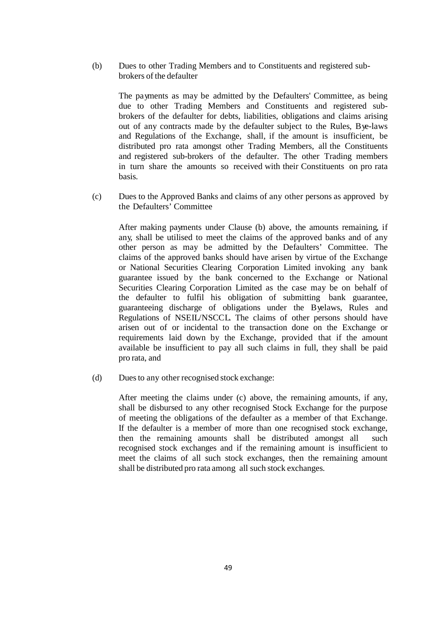(b) Dues to other Trading Members and to Constituents and registered subbrokers of the defaulter

The payments as may be admitted by the Defaulters' Committee, as being due to other Trading Members and Constituents and registered subbrokers of the defaulter for debts, liabilities, obligations and claims arising out of any contracts made by the defaulter subject to the Rules, Bye-laws and Regulations of the Exchange, shall, if the amount is insufficient, be distributed pro rata amongst other Trading Members, all the Constituents and registered sub-brokers of the defaulter. The other Trading members in turn share the amounts so received with their Constituents on pro rata basis.

(c) Dues to the Approved Banks and claims of any other persons as approved by the Defaulters' Committee

After making payments under Clause (b) above, the amounts remaining, if any, shall be utilised to meet the claims of the approved banks and of any other person as may be admitted by the Defaulters' Committee. The claims of the approved banks should have arisen by virtue of the Exchange or National Securities Clearing Corporation Limited invoking any bank guarantee issued by the bank concerned to the Exchange or National Securities Clearing Corporation Limited as the case may be on behalf of the defaulter to fulfil his obligation of submitting bank guarantee, guaranteeing discharge of obligations under the Byelaws, Rules and Regulations of NSEIL/NSCCL. The claims of other persons should have arisen out of or incidental to the transaction done on the Exchange or requirements laid down by the Exchange, provided that if the amount available be insufficient to pay all such claims in full, they shall be paid pro rata, and

(d) Duesto any other recognised stock exchange:

After meeting the claims under (c) above, the remaining amounts, if any, shall be disbursed to any other recognised Stock Exchange for the purpose of meeting the obligations of the defaulter as a member of that Exchange. If the defaulter is a member of more than one recognised stock exchange, then the remaining amounts shall be distributed amongst all such recognised stock exchanges and if the remaining amount is insufficient to meet the claims of all such stock exchanges, then the remaining amount shall be distributed pro rata among all such stock exchanges.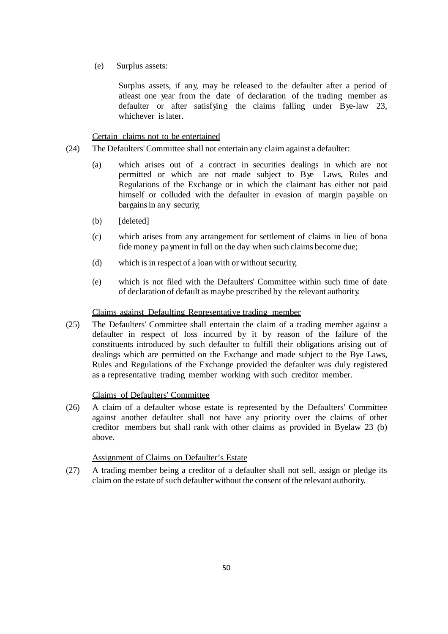(e) Surplus assets:

Surplus assets, if any, may be released to the defaulter after a period of atleast one year from the date of declaration of the trading member as defaulter or after satisfying the claims falling under Bye-law 23, whichever is later.

Certain claims not to be entertained

- (24) The Defaulters'Committee shall not entertain any claim against a defaulter:
	- (a) which arises out of a contract in securities dealings in which are not permitted or which are not made subject to Bye Laws, Rules and Regulations of the Exchange or in which the claimant has either not paid himself or colluded with the defaulter in evasion of margin payable on bargains in any securive
	- (b) [deleted]
	- (c) which arises from any arrangement for settlement of claims in lieu of bona fide money payment in full on the day when such claims become due;
	- $(d)$  which is in respect of a loan with or without security;
	- (e) which is not filed with the Defaulters' Committee within such time of date of declaration of default as maybe prescribed by the relevant authority.

### Claims against Defaulting Representative trading member

(25) The Defaulters' Committee shall entertain the claim of a trading member against a defaulter in respect of loss incurred by it by reason of the failure of the constituents introduced by such defaulter to fulfill their obligations arising out of dealings which are permitted on the Exchange and made subject to the Bye Laws, Rules and Regulations of the Exchange provided the defaulter was duly registered as a representative trading member working with such creditor member.

## Claims of Defaulters' Committee

(26) A claim of a defaulter whose estate is represented by the Defaulters' Committee against another defaulter shall not have any priority over the claims of other creditor members but shall rank with other claims as provided in Byelaw 23 (b) above.

#### Assignment of Claims on Defaulter's Estate

(27) A trading member being a creditor of a defaulter shall not sell, assign or pledge its claim on the estate of such defaulter without the consent of the relevant authority.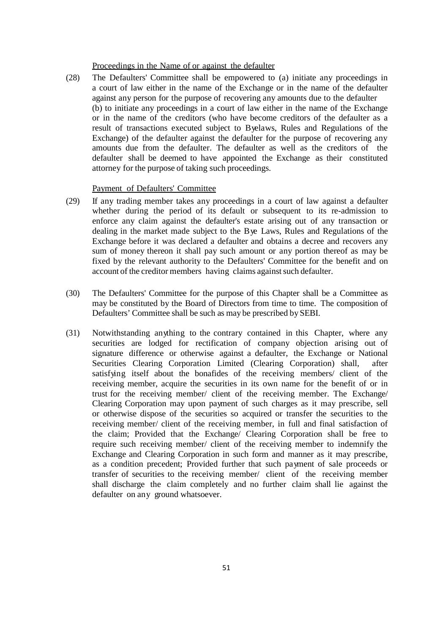## Proceedings in the Name of or against the defaulter

(28) The Defaulters' Committee shall be empowered to (a) initiate any proceedings in a court of law either in the name of the Exchange or in the name of the defaulter against any person for the purpose of recovering any amounts due to the defaulter (b) to initiate any proceedings in a court of law either in the name of the Exchange or in the name of the creditors (who have become creditors of the defaulter as a result of transactions executed subject to Byelaws, Rules and Regulations of the Exchange) of the defaulter against the defaulter for the purpose of recovering any amounts due from the defaulter. The defaulter as well as the creditors of the defaulter shall be deemed to have appointed the Exchange as their constituted attorney for the purpose of taking such proceedings.

#### Payment of Defaulters' Committee

- (29) If any trading member takes any proceedings in a court of law against a defaulter whether during the period of its default or subsequent to its re-admission to enforce any claim against the defaulter's estate arising out of any transaction or dealing in the market made subject to the Bye Laws, Rules and Regulations of the Exchange before it was declared a defaulter and obtains a decree and recovers any sum of money thereon it shall pay such amount or any portion thereof as may be fixed by the relevant authority to the Defaulters' Committee for the benefit and on account of the creditor members having claims against such defaulter.
- (30) The Defaulters' Committee for the purpose of this Chapter shall be a Committee as may be constituted by the Board of Directors from time to time. The composition of Defaulters' Committee shall be such as may be prescribed by SEBI.
- (31) Notwithstanding anything to the contrary contained in this Chapter, where any securities are lodged for rectification of company objection arising out of signature difference or otherwise against a defaulter, the Exchange or National Securities Clearing Corporation Limited (Clearing Corporation) shall, after satisfying itself about the bonafides of the receiving members/ client of the receiving member, acquire the securities in its own name for the benefit of or in trust for the receiving member/ client of the receiving member. The Exchange/ Clearing Corporation may upon payment of such charges as it may prescribe, sell or otherwise dispose of the securities so acquired or transfer the securities to the receiving member/ client of the receiving member, in full and final satisfaction of the claim; Provided that the Exchange/ Clearing Corporation shall be free to require such receiving member/ client of the receiving member to indemnify the Exchange and Clearing Corporation in such form and manner as it may prescribe, as a condition precedent; Provided further that such payment of sale proceeds or transfer of securities to the receiving member/ client of the receiving member shall discharge the claim completely and no further claim shall lie against the defaulter on any ground whatsoever.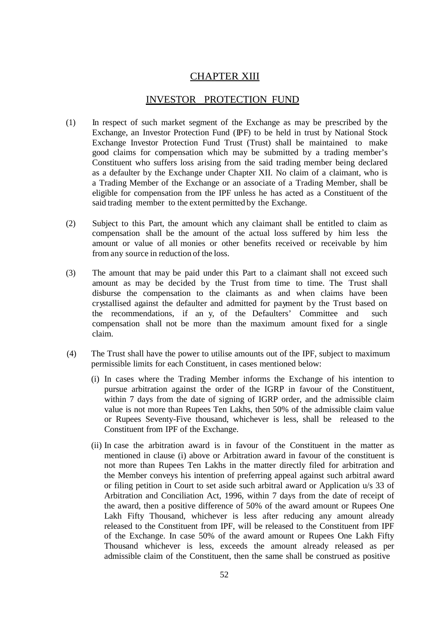# **CHAPTER XIII**

## INVESTOR PROTECTION FUND

- (1) In respect of such market segment of the Exchange as may be prescribed by the Exchange, an Investor Protection Fund (IPF) to be held in trust by National Stock Exchange Investor Protection Fund Trust (Trust) shall be maintained to make good claims for compensation which may be submitted by a trading member's Constituent who suffers loss arising from the said trading member being declared as a defaulter by the Exchange under Chapter XII. No claim of a claimant, who is a Trading Member of the Exchange or an associate of a Trading Member, shall be eligible for compensation from the IPF unless he has acted as a Constituent of the said trading member to the extent permitted by the Exchange.
- (2) Subject to this Part, the amount which any claimant shall be entitled to claim as compensation shall be the amount of the actual loss suffered by him less the amount or value of all monies or other benefits received or receivable by him from any source in reduction of the loss.
- (3) The amount that may be paid under this Part to a claimant shall not exceed such amount as may be decided by the Trust from time to time. The Trust shall disburse the compensation to the claimants as and when claims have been crystallised against the defaulter and admitted for payment by the Trust based on the recommendations, if an y, of the Defaulters' Committee and such compensation shall not be more than the maximum amount fixed for a single claim.
- (4) The Trust shall have the power to utilise amounts out of the IPF, subject to maximum permissible limits for each Constituent, in cases mentioned below:
	- (i) In cases where the Trading Member informs the Exchange of his intention to pursue arbitration against the order of the IGRP in favour of the Constituent, within 7 days from the date of signing of IGRP order, and the admissible claim value is not more than Rupees Ten Lakhs, then 50% of the admissible claim value or Rupees Seventy-Five thousand, whichever is less, shall be released to the Constituent from IPF of the Exchange.
	- (ii) In case the arbitration award is in favour of the Constituent in the matter as mentioned in clause (i) above or Arbitration award in favour of the constituent is not more than Rupees Ten Lakhs in the matter directly filed for arbitration and the Member conveys his intention of preferring appeal against such arbitral award or filing petition in Court to set aside such arbitral award or Application u/s 33 of Arbitration and Conciliation Act, 1996, within 7 days from the date of receipt of the award, then a positive difference of 50% of the award amount or Rupees One Lakh Fifty Thousand, whichever is less after reducing any amount already released to the Constituent from IPF, will be released to the Constituent from IPF of the Exchange. In case 50% of the award amount or Rupees One Lakh Fifty Thousand whichever is less, exceeds the amount already released as per admissible claim of the Constituent, then the same shall be construed as positive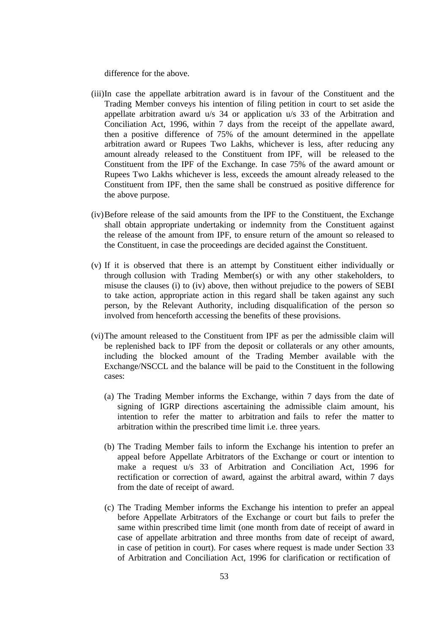difference for the above.

- (iii)In case the appellate arbitration award is in favour of the Constituent and the Trading Member conveys his intention of filing petition in court to set aside the appellate arbitration award u/s 34 or application u/s 33 of the Arbitration and Conciliation Act, 1996, within 7 days from the receipt of the appellate award, then a positive difference of 75% of the amount determined in the appellate arbitration award or Rupees Two Lakhs, whichever is less, after reducing any amount already released to the Constituent from IPF, will be released to the Constituent from the IPF of the Exchange. In case 75% of the award amount or Rupees Two Lakhs whichever is less, exceeds the amount already released to the Constituent from IPF, then the same shall be construed as positive difference for the above purpose.
- (iv)Before release of the said amounts from the IPF to the Constituent, the Exchange shall obtain appropriate undertaking or indemnity from the Constituent against the release of the amount from IPF, to ensure return of the amount so released to the Constituent, in case the proceedings are decided against the Constituent.
- (v) If it is observed that there is an attempt by Constituent either individually or through collusion with Trading Member(s) or with any other stakeholders, to misuse the clauses (i) to (iv) above, then without prejudice to the powers of SEBI to take action, appropriate action in this regard shall be taken against any such person, by the Relevant Authority, including disqualification of the person so involved from henceforth accessing the benefits of these provisions.
- (vi)The amount released to the Constituent from IPF as per the admissible claim will be replenished back to IPF from the deposit or collaterals or any other amounts, including the blocked amount of the Trading Member available with the Exchange/NSCCL and the balance will be paid to the Constituent in the following cases:
	- (a) The Trading Member informs the Exchange, within 7 days from the date of signing of IGRP directions ascertaining the admissible claim amount, his intention to refer the matter to arbitration and fails to refer the matter to arbitration within the prescribed time limit i.e. three years.
	- (b) The Trading Member fails to inform the Exchange his intention to prefer an appeal before Appellate Arbitrators of the Exchange or court or intention to make a request u/s 33 of Arbitration and Conciliation Act, 1996 for rectification or correction of award, against the arbitral award, within 7 days from the date of receipt of award.
	- (c) The Trading Member informs the Exchange his intention to prefer an appeal before Appellate Arbitrators of the Exchange or court but fails to prefer the same within prescribed time limit (one month from date of receipt of award in case of appellate arbitration and three months from date of receipt of award, in case of petition in court). For cases where request is made under Section 33 of Arbitration and Conciliation Act, 1996 for clarification or rectification of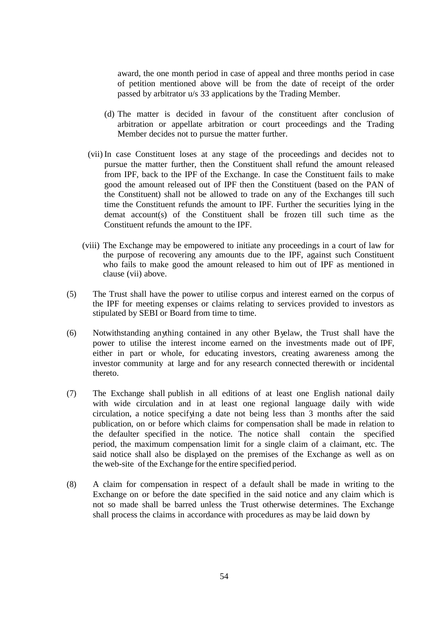award, the one month period in case of appeal and three months period in case of petition mentioned above will be from the date of receipt of the order passed by arbitrator u/s 33 applications by the Trading Member.

- (d) The matter is decided in favour of the constituent after conclusion of arbitration or appellate arbitration or court proceedings and the Trading Member decides not to pursue the matter further.
- (vii) In case Constituent loses at any stage of the proceedings and decides not to pursue the matter further, then the Constituent shall refund the amount released from IPF, back to the IPF of the Exchange. In case the Constituent fails to make good the amount released out of IPF then the Constituent (based on the PAN of the Constituent) shall not be allowed to trade on any of the Exchanges till such time the Constituent refunds the amount to IPF. Further the securities lying in the demat account(s) of the Constituent shall be frozen till such time as the Constituent refunds the amount to the IPF.
- (viii) The Exchange may be empowered to initiate any proceedings in a court of law for the purpose of recovering any amounts due to the IPF, against such Constituent who fails to make good the amount released to him out of IPF as mentioned in clause (vii) above.
- (5) The Trust shall have the power to utilise corpus and interest earned on the corpus of the IPF for meeting expenses or claims relating to services provided to investors as stipulated by SEBI or Board from time to time.
- (6) Notwithstanding anything contained in any other Byelaw, the Trust shall have the power to utilise the interest income earned on the investments made out of IPF, either in part or whole, for educating investors, creating awareness among the investor community at large and for any research connected therewith or incidental thereto.
- (7) The Exchange shall publish in all editions of at least one English national daily with wide circulation and in at least one regional language daily with wide circulation, a notice specifying a date not being less than 3 months after the said publication, on or before which claims for compensation shall be made in relation to the defaulter specified in the notice. The notice shall contain the specified period, the maximum compensation limit for a single claim of a claimant, etc. The said notice shall also be displayed on the premises of the Exchange as well as on the web-site of the Exchange for the entire specified period.
- (8) A claim for compensation in respect of a default shall be made in writing to the Exchange on or before the date specified in the said notice and any claim which is not so made shall be barred unless the Trust otherwise determines. The Exchange shall process the claims in accordance with procedures as may be laid down by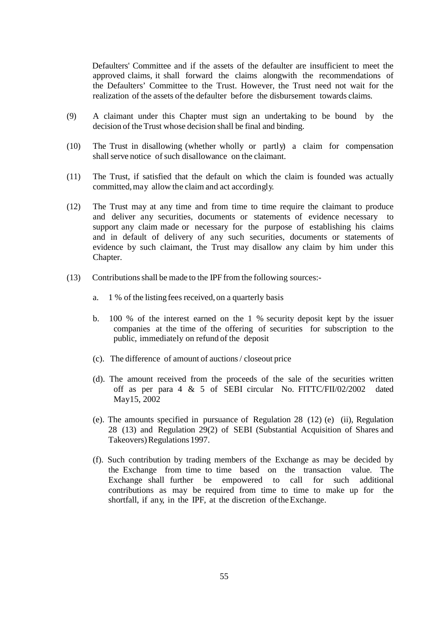Defaulters' Committee and if the assets of the defaulter are insufficient to meet the approved claims, it shall forward the claims alongwith the recommendations of the Defaulters' Committee to the Trust. However, the Trust need not wait for the realization of the assets of the defaulter before the disbursement towards claims.

- (9) A claimant under this Chapter must sign an undertaking to be bound by the decision of the Trust whose decision shall be final and binding.
- (10) The Trust in disallowing (whether wholly or partly) a claim for compensation shall serve notice of such disallowance on the claimant.
- (11) The Trust, if satisfied that the default on which the claim is founded was actually committed,may allow the claim and act accordingly.
- (12) The Trust may at any time and from time to time require the claimant to produce and deliver any securities, documents or statements of evidence necessary to support any claim made or necessary for the purpose of establishing his claims and in default of delivery of any such securities, documents or statements of evidence by such claimant, the Trust may disallow any claim by him under this Chapter.
- (13) Contributionsshall be made to the IPF from the following sources:
	- a. 1 % of the listing fees received, on a quarterly basis
	- b. 100 % of the interest earned on the 1 % security deposit kept by the issuer companies at the time of the offering of securities for subscription to the public, immediately on refund of the deposit
	- (c). The difference of amount of auctions/ closeout price
	- (d). The amount received from the proceeds of the sale of the securities written off as per para 4 & 5 of SEBI circular No. FITTC/FII/02/2002 dated May15, 2002
	- (e). The amounts specified in pursuance of Regulation 28 (12) (e) (ii), Regulation 28 (13) and Regulation 29(2) of SEBI (Substantial Acquisition of Shares and Takeovers) Regulations 1997.
	- (f). Such contribution by trading members of the Exchange as may be decided by the Exchange from time to time based on the transaction value. The Exchange shall further be empowered to call for such additional contributions as may be required from time to time to make up for the shortfall, if any, in the IPF, at the discretion of the Exchange.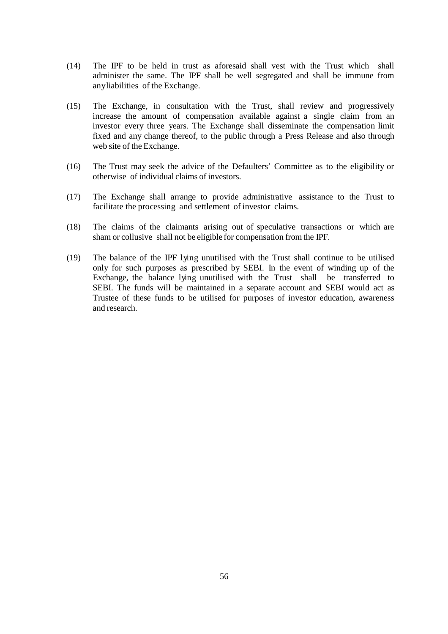- (14) The IPF to be held in trust as aforesaid shall vest with the Trust which shall administer the same. The IPF shall be well segregated and shall be immune from anyliabilities of the Exchange.
- (15) The Exchange, in consultation with the Trust, shall review and progressively increase the amount of compensation available against a single claim from an investor every three years. The Exchange shall disseminate the compensation limit fixed and any change thereof, to the public through a Press Release and also through web site of the Exchange.
- (16) The Trust may seek the advice of the Defaulters' Committee as to the eligibility or otherwise of individual claims of investors.
- (17) The Exchange shall arrange to provide administrative assistance to the Trust to facilitate the processing and settlement of investor claims.
- (18) The claims of the claimants arising out of speculative transactions or which are sham or collusive shall not be eligible for compensation from the IPF.
- (19) The balance of the IPF lying unutilised with the Trust shall continue to be utilised only for such purposes as prescribed by SEBI. In the event of winding up of the Exchange, the balance lying unutilised with the Trust shall be transferred to SEBI. The funds will be maintained in a separate account and SEBI would act as Trustee of these funds to be utilised for purposes of investor education, awareness and research.